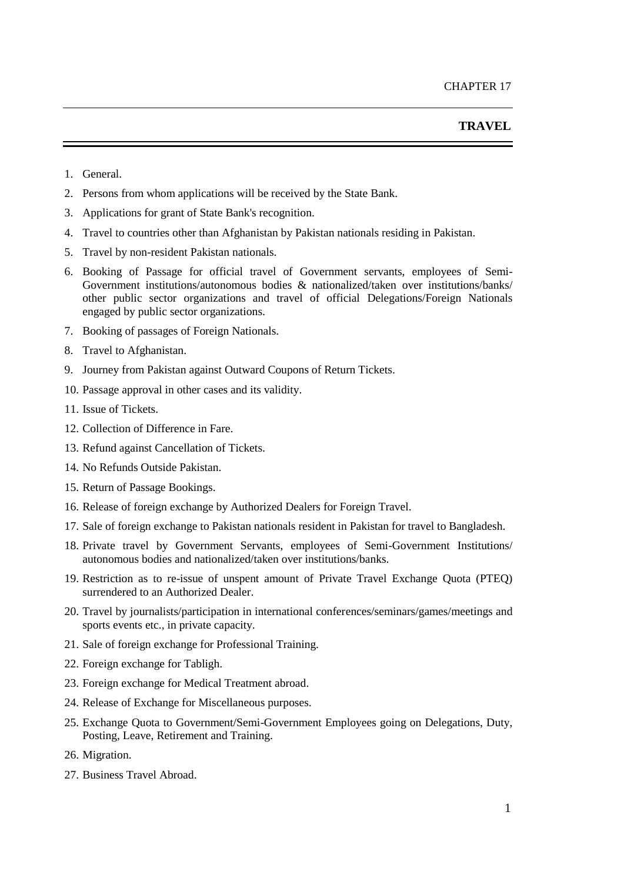- 1. General.
- 2. Persons from whom applications will be received by the State Bank.
- 3. Applications for grant of State Bank's recognition.
- 4. Travel to countries other than Afghanistan by Pakistan nationals residing in Pakistan.
- 5. Travel by non-resident Pakistan nationals.
- 6. Booking of Passage for official travel of Government servants, employees of Semi-Government institutions/autonomous bodies & nationalized/taken over institutions/banks/ other public sector organizations and travel of official Delegations/Foreign Nationals engaged by public sector organizations.
- 7. Booking of passages of Foreign Nationals.
- 8. Travel to Afghanistan.
- 9. Journey from Pakistan against Outward Coupons of Return Tickets.
- 10. Passage approval in other cases and its validity.
- 11. Issue of Tickets.
- 12. Collection of Difference in Fare.
- 13. Refund against Cancellation of Tickets.
- 14. No Refunds Outside Pakistan.
- 15. Return of Passage Bookings.
- 16. Release of foreign exchange by Authorized Dealers for Foreign Travel.
- 17. Sale of foreign exchange to Pakistan nationals resident in Pakistan for travel to Bangladesh.
- 18. Private travel by Government Servants, employees of Semi-Government Institutions/ autonomous bodies and nationalized/taken over institutions/banks.
- 19. Restriction as to re-issue of unspent amount of Private Travel Exchange Quota (PTEQ) surrendered to an Authorized Dealer.
- 20. Travel by journalists/participation in international conferences/seminars/games/meetings and sports events etc., in private capacity.
- 21. Sale of foreign exchange for Professional Training.
- 22. Foreign exchange for Tabligh.
- 23. Foreign exchange for Medical Treatment abroad.
- 24. Release of Exchange for Miscellaneous purposes.
- 25. Exchange Quota to Government/Semi-Government Employees going on Delegations, Duty, Posting, Leave, Retirement and Training.
- 26. Migration.
- 27. Business Travel Abroad.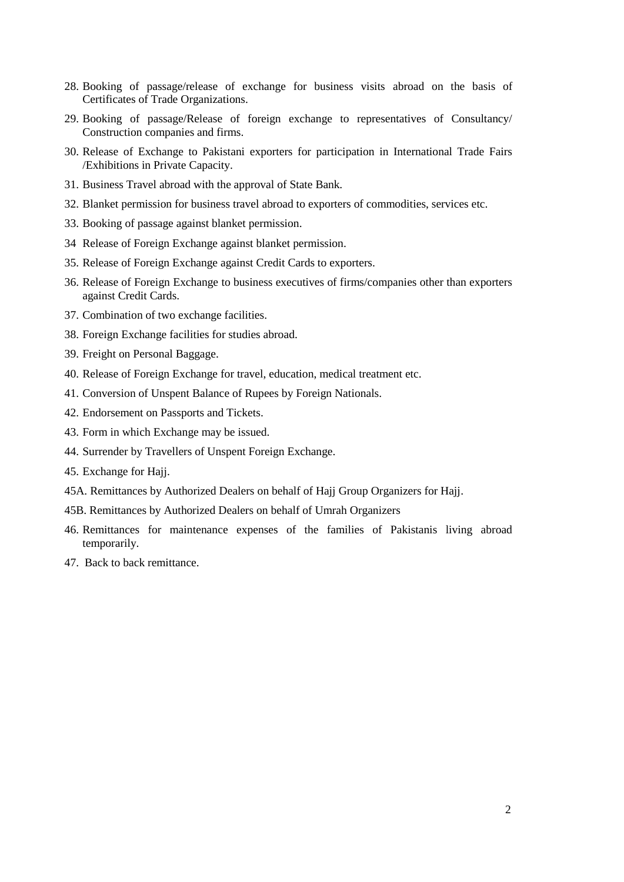- 28. Booking of passage/release of exchange for business visits abroad on the basis of Certificates of Trade Organizations.
- 29. Booking of passage/Release of foreign exchange to representatives of Consultancy/ Construction companies and firms.
- 30. Release of Exchange to Pakistani exporters for participation in International Trade Fairs /Exhibitions in Private Capacity.
- 31. Business Travel abroad with the approval of State Bank.
- 32. Blanket permission for business travel abroad to exporters of commodities, services etc.
- 33. Booking of passage against blanket permission.
- 34 Release of Foreign Exchange against blanket permission.
- 35. Release of Foreign Exchange against Credit Cards to exporters.
- 36. Release of Foreign Exchange to business executives of firms/companies other than exporters against Credit Cards.
- 37. Combination of two exchange facilities.
- 38. Foreign Exchange facilities for studies abroad.
- 39. Freight on Personal Baggage.
- 40. Release of Foreign Exchange for travel, education, medical treatment etc.
- 41. Conversion of Unspent Balance of Rupees by Foreign Nationals.
- 42. Endorsement on Passports and Tickets.
- 43. Form in which Exchange may be issued.
- 44. Surrender by Travellers of Unspent Foreign Exchange.
- 45. Exchange for Hajj.
- 45A. Remittances by Authorized Dealers on behalf of Hajj Group Organizers for Hajj.
- 45B. Remittances by Authorized Dealers on behalf of Umrah Organizers
- 46. Remittances for maintenance expenses of the families of Pakistanis living abroad temporarily.
- 47. Back to back remittance.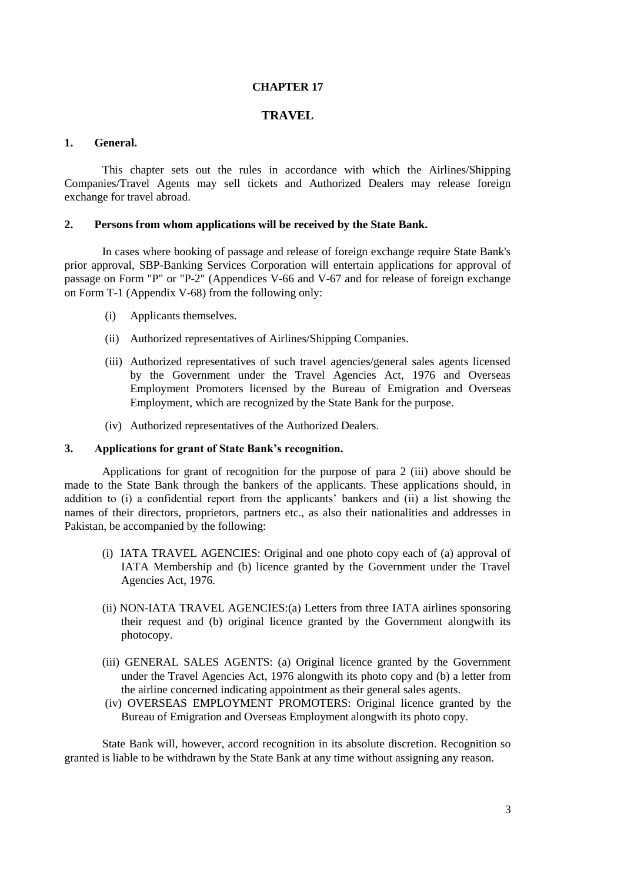#### **CHAPTER 17**

## **TRAVEL**

#### **1. General.**

This chapter sets out the rules in accordance with which the Airlines/Shipping Companies/Travel Agents may sell tickets and Authorized Dealers may release foreign exchange for travel abroad.

#### **2. Persons from whom applications will be received by the State Bank.**

In cases where booking of passage and release of foreign exchange require State Bank's prior approval, SBP-Banking Services Corporation will entertain applications for approval of passage on [Form "P"](file:///C:/Users/imran8347/AppData/Local/Microsoft/Windows/AppData/Local/Microsoft/Windows/Temporary%20Internet%20Files/appendix%20files/appendix%205/ap5-71.htm) or ["P-2"](file:///C:/Users/imran8347/AppData/Local/Microsoft/Windows/AppData/Local/Microsoft/Windows/Temporary%20Internet%20Files/appendix%20files/appendix%205/ap5-72.htm) (Appendices [V-6](file:///C:/Users/imran8347/AppData/Local/Microsoft/Windows/AppData/Local/Microsoft/Windows/Temporary%20Internet%20Files/appendix%20files/appendix%205/ap5-71.htm)6 and [V-6](file:///C:/Users/imran8347/AppData/Local/Microsoft/Windows/AppData/Local/Microsoft/Windows/Temporary%20Internet%20Files/appendix%20files/appendix%205/ap5-72.htm)7 and for release of foreign exchange on [Form T-1](file:///C:/Users/imran8347/AppData/Local/Microsoft/Windows/AppData/Local/Microsoft/Windows/Temporary%20Internet%20Files/appendix%20files/appendix%205/ap5-73.htm) [\(Appendix](file:///C:/Users/imran8347/AppData/Local/Microsoft/Windows/AppData/Local/Microsoft/Windows/Temporary%20Internet%20Files/appendix%20files/appendix%205/ap5-73.htm) V-68) from the following only:

- (i) Applicants themselves.
- (ii) Authorized representatives of Airlines/Shipping Companies.
- (iii) Authorized representatives of such travel agencies/general sales agents licensed by the Government under the Travel Agencies Act, 1976 and Overseas Employment Promoters licensed by the Bureau of Emigration and Overseas Employment, which are recognized by the State Bank for the purpose.
- (iv) Authorized representatives of the Authorized Dealers.

## **3. Applications for grant of State Bank's recognition.**

Applications for grant of recognition for the purpose of [para 2 \(iii\) above](file:///C:/Users/imran8347/AppData/Local/Microsoft/Windows/AppData/Local/Microsoft/Windows/Temporary%20Internet%20Files/Content.Outlook/chapter17.htm%23BUllet%202%20(iii)) should be made to the State Bank through the bankers of the applicants. These applications should, in addition to (i) a confidential report from the applicants' bankers and (ii) a list showing the names of their directors, proprietors, partners etc., as also their nationalities and addresses in Pakistan, be accompanied by the following:

- (i) IATA TRAVEL AGENCIES: Original and one photo copy each of (a) approval of IATA Membership and (b) licence granted by the Government under the Travel Agencies Act, 1976.
- (ii) NON-IATA TRAVEL AGENCIES:(a) Letters from three IATA airlines sponsoring their request and (b) original licence granted by the Government alongwith its photocopy.
- (iii) GENERAL SALES AGENTS: (a) Original licence granted by the Government under the Travel Agencies Act, 1976 alongwith its photo copy and (b) a letter from the airline concerned indicating appointment as their general sales agents.
- (iv) OVERSEAS EMPLOYMENT PROMOTERS: Original licence granted by the Bureau of Emigration and Overseas Employment alongwith its photo copy.

State Bank will, however, accord recognition in its absolute discretion. Recognition so granted is liable to be withdrawn by the State Bank at any time without assigning any reason.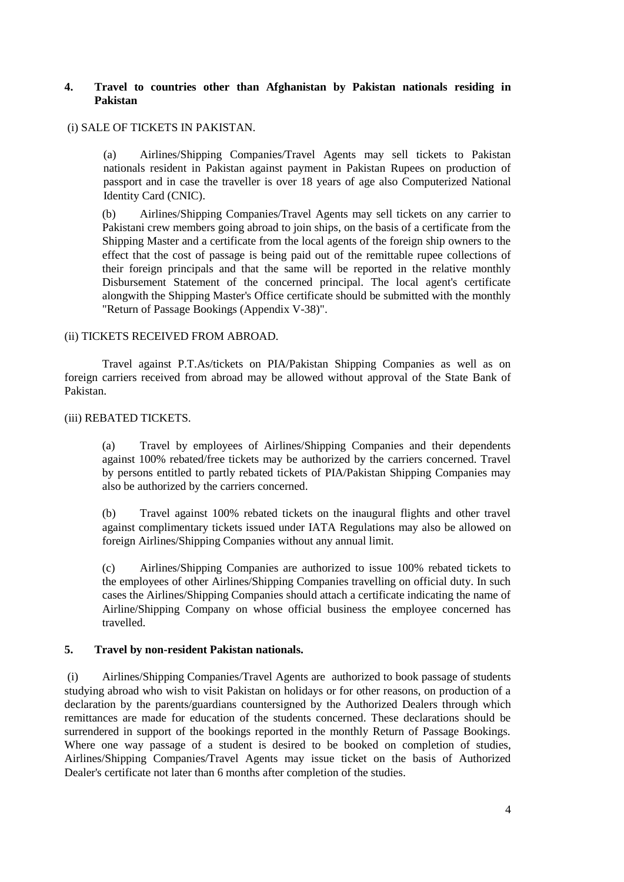# **4. Travel to countries other than Afghanistan by Pakistan nationals residing in Pakistan**

## (i) SALE OF TICKETS IN PAKISTAN.

(a) Airlines/Shipping Companies/Travel Agents may sell tickets to Pakistan nationals resident in Pakistan against payment in Pakistan Rupees on production of passport and in case the traveller is over 18 years of age also Computerized National Identity Card (CNIC).

(b) Airlines/Shipping Companies/Travel Agents may sell tickets on any carrier to Pakistani crew members going abroad to join ships, on the basis of a certificate from the Shipping Master and a certificate from the local agents of the foreign ship owners to the effect that the cost of passage is being paid out of the remittable rupee collections of their foreign principals and that the same will be reported in the relative monthly Disbursement Statement of the concerned principal. The local agent's certificate alongwith the Shipping Master's Office certificate should be submitted with the monthly ["Return of Passage Bookings \(Appendix](file:///C:/Users/imran8347/AppData/Local/Microsoft/Windows/AppData/Local/Microsoft/Windows/Temporary%20Internet%20Files/appendix%20files/appendix%205/ap5-47.htm) V-38)".

# (ii) TICKETS RECEIVED FROM ABROAD.

Travel against P.T.As/tickets on PIA/Pakistan Shipping Companies as well as on foreign carriers received from abroad may be allowed without approval of the State Bank of Pakistan.

# (iii) REBATED TICKETS.

(a) Travel by employees of Airlines/Shipping Companies and their dependents against 100% rebated/free tickets may be authorized by the carriers concerned. Travel by persons entitled to partly rebated tickets of PIA/Pakistan Shipping Companies may also be authorized by the carriers concerned.

(b) Travel against 100% rebated tickets on the inaugural flights and other travel against complimentary tickets issued under IATA Regulations may also be allowed on foreign Airlines/Shipping Companies without any annual limit.

(c) Airlines/Shipping Companies are authorized to issue 100% rebated tickets to the employees of other Airlines/Shipping Companies travelling on official duty. In such cases the Airlines/Shipping Companies should attach a certificate indicating the name of Airline/Shipping Company on whose official business the employee concerned has travelled.

# **5. Travel by non-resident Pakistan nationals.**

(i) Airlines/Shipping Companies/Travel Agents are authorized to book passage of students studying abroad who wish to visit Pakistan on holidays or for other reasons, on production of a declaration by the parents/guardians countersigned by the Authorized Dealers through which remittances are made for education of the students concerned. These declarations should be surrendered in support of the bookings reported in the monthly Return of Passage Bookings. Where one way passage of a student is desired to be booked on completion of studies, Airlines/Shipping Companies/Travel Agents may issue ticket on the basis of Authorized Dealer's certificate not later than 6 months after completion of the studies.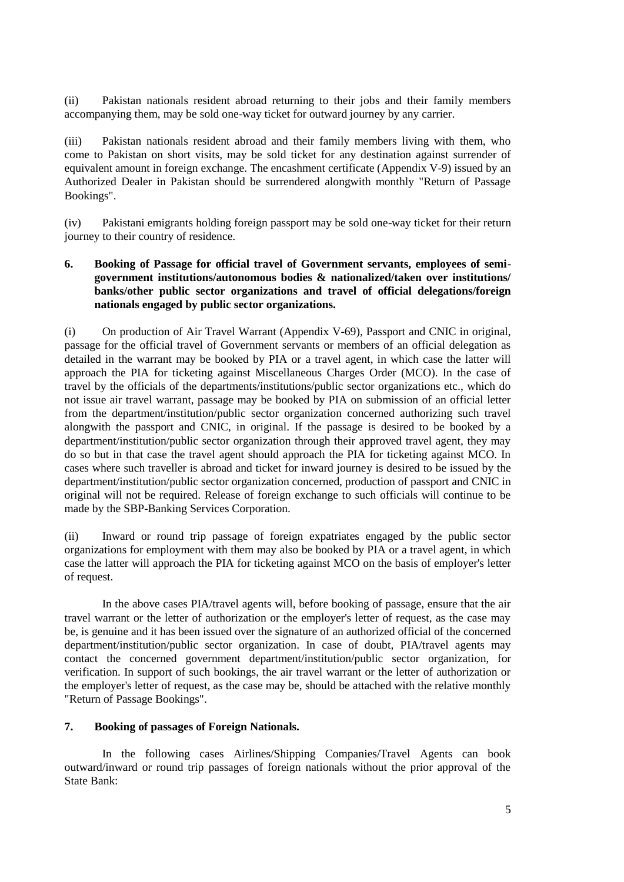(ii) Pakistan nationals resident abroad returning to their jobs and their family members accompanying them, may be sold one-way ticket for outward journey by any carrier.

(iii) Pakistan nationals resident abroad and their family members living with them, who come to Pakistan on short visits, may be sold ticket for any destination against surrender of equivalent amount in foreign exchange. The encashment certificate [\(Appendix V-9](file:///C:/Users/imran8347/AppData/Local/Microsoft/Windows/AppData/Local/Microsoft/Windows/Temporary%20Internet%20Files/appendix%20files/appendix%205/ap5-13.htm)) issued by an Authorized Dealer in Pakistan should be surrendered alongwith monthly "Return of Passage Bookings".

(iv) Pakistani emigrants holding foreign passport may be sold one-way ticket for their return journey to their country of residence.

# **6. Booking of Passage for official travel of Government servants, employees of semigovernment institutions/autonomous bodies & nationalized/taken over institutions/ banks/other public sector organizations and travel of official delegations/foreign nationals engaged by public sector organizations.**

(i) On production of Air Travel Warrant [\(Appendix V-6](file:///C:/Users/imran8347/AppData/Local/Microsoft/Windows/AppData/Local/Microsoft/Windows/Temporary%20Internet%20Files/appendix%20files/appendix%205/ap5-74.htm)9), Passport and CNIC in original, passage for the official travel of Government servants or members of an official delegation as detailed in the warrant may be booked by PIA or a travel agent, in which case the latter will approach the PIA for ticketing against Miscellaneous Charges Order (MCO). In the case of travel by the officials of the departments/institutions/public sector organizations etc., which do not issue air travel warrant, passage may be booked by PIA on submission of an official letter from the department/institution/public sector organization concerned authorizing such travel alongwith the passport and CNIC, in original. If the passage is desired to be booked by a department/institution/public sector organization through their approved travel agent, they may do so but in that case the travel agent should approach the PIA for ticketing against MCO. In cases where such traveller is abroad and ticket for inward journey is desired to be issued by the department/institution/public sector organization concerned, production of passport and CNIC in original will not be required. Release of foreign exchange to such officials will continue to be made by the SBP-Banking Services Corporation.

(ii) Inward or round trip passage of foreign expatriates engaged by the public sector organizations for employment with them may also be booked by PIA or a travel agent, in which case the latter will approach the PIA for ticketing against MCO on the basis of employer's letter of request.

In the above cases PIA/travel agents will, before booking of passage, ensure that the air travel warrant or the letter of authorization or the employer's letter of request, as the case may be, is genuine and it has been issued over the signature of an authorized official of the concerned department/institution/public sector organization. In case of doubt, PIA/travel agents may contact the concerned government department/institution/public sector organization, for verification. In support of such bookings, the air travel warrant or the letter of authorization or the employer's letter of request, as the case may be, should be attached with the relative monthly "Return of Passage Bookings".

## **7. Booking of passages of Foreign Nationals.**

In the following cases Airlines/Shipping Companies/Travel Agents can book outward/inward or round trip passages of foreign nationals without the prior approval of the State Bank: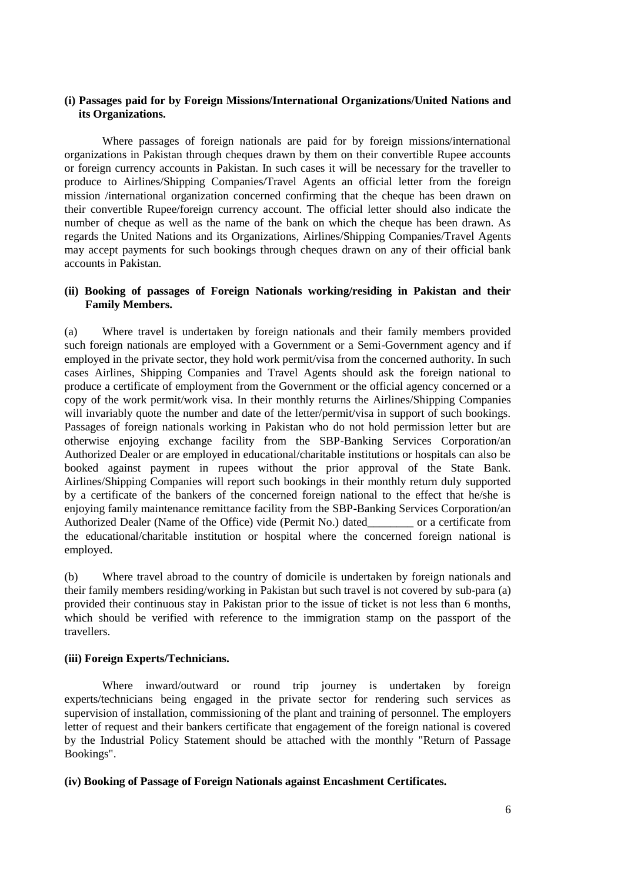## **(i) Passages paid for by Foreign Missions/International Organizations/United Nations and its Organizations.**

Where passages of foreign nationals are paid for by foreign missions/international organizations in Pakistan through cheques drawn by them on their convertible Rupee accounts or foreign currency accounts in Pakistan. In such cases it will be necessary for the traveller to produce to Airlines/Shipping Companies/Travel Agents an official letter from the foreign mission /international organization concerned confirming that the cheque has been drawn on their convertible Rupee/foreign currency account. The official letter should also indicate the number of cheque as well as the name of the bank on which the cheque has been drawn. As regards the United Nations and its Organizations, Airlines/Shipping Companies/Travel Agents may accept payments for such bookings through cheques drawn on any of their official bank accounts in Pakistan.

## **(ii) Booking of passages of Foreign Nationals working/residing in Pakistan and their Family Members.**

(a) Where travel is undertaken by foreign nationals and their family members provided such foreign nationals are employed with a Government or a Semi-Government agency and if employed in the private sector, they hold work permit/visa from the concerned authority. In such cases Airlines, Shipping Companies and Travel Agents should ask the foreign national to produce a certificate of employment from the Government or the official agency concerned or a copy of the work permit/work visa. In their monthly returns the Airlines/Shipping Companies will invariably quote the number and date of the letter/permit/visa in support of such bookings. Passages of foreign nationals working in Pakistan who do not hold permission letter but are otherwise enjoying exchange facility from the SBP-Banking Services Corporation/an Authorized Dealer or are employed in educational/charitable institutions or hospitals can also be booked against payment in rupees without the prior approval of the State Bank. Airlines/Shipping Companies will report such bookings in their monthly return duly supported by a certificate of the bankers of the concerned foreign national to the effect that he/she is enjoying family maintenance remittance facility from the SBP-Banking Services Corporation/an Authorized Dealer (Name of the Office) vide (Permit No.) dated or a certificate from the educational/charitable institution or hospital where the concerned foreign national is employed.

(b) Where travel abroad to the country of domicile is undertaken by foreign nationals and their family members residing/working in Pakistan but such travel is not covered by [sub-para \(a\)](file:///C:/Users/imran8347/AppData/Local/Microsoft/Windows/AppData/Local/Microsoft/Windows/Temporary%20Internet%20Files/Content.Outlook/chapter17.htm%23Bullet%208%20(I)%20(b)%20(i)) provided their continuous stay in Pakistan prior to the issue of ticket is not less than 6 months, which should be verified with reference to the immigration stamp on the passport of the travellers.

#### **(iii) Foreign Experts/Technicians.**

Where inward/outward or round trip journey is undertaken by foreign experts/technicians being engaged in the private sector for rendering such services as supervision of installation, commissioning of the plant and training of personnel. The employers letter of request and their bankers certificate that engagement of the foreign national is covered by the Industrial Policy Statement should be attached with the monthly "Return of Passage Bookings".

#### **(iv) Booking of Passage of Foreign Nationals against Encashment Certificates.**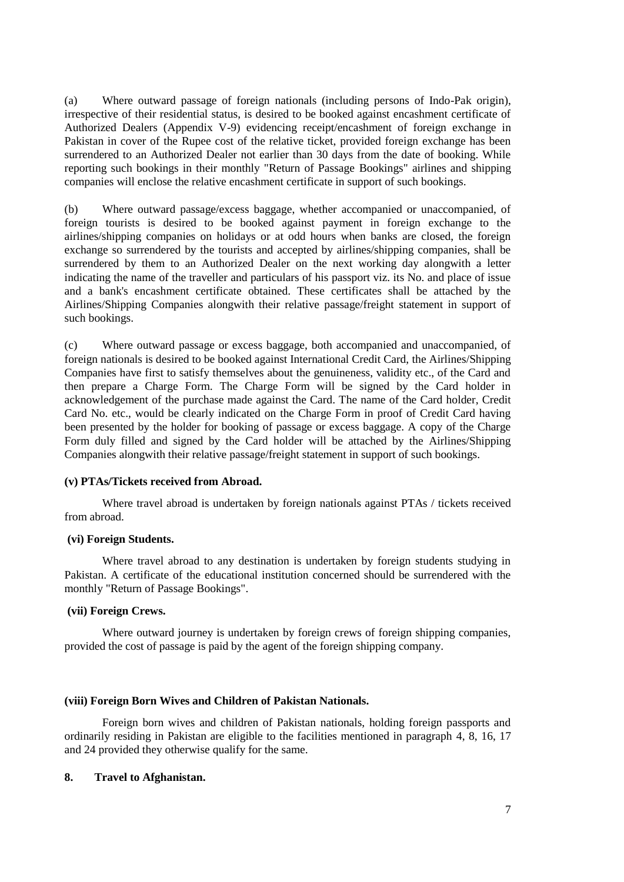(a) Where outward passage of foreign nationals (including persons of Indo-Pak origin), irrespective of their residential status, is desired to be booked against encashment certificate of Authorized Dealers [\(Appendix V-9](file:///C:/Users/imran8347/AppData/Local/Microsoft/Windows/AppData/Local/Microsoft/Windows/Temporary%20Internet%20Files/appendix%20files/appendix%205/ap5-13.htm)) evidencing receipt/encashment of foreign exchange in Pakistan in cover of the Rupee cost of the relative ticket, provided foreign exchange has been surrendered to an Authorized Dealer not earlier than 30 days from the date of booking. While reporting such bookings in their monthly "Return of Passage Bookings" airlines and shipping companies will enclose the relative encashment certificate in support of such bookings.

(b) Where outward passage/excess baggage, whether accompanied or unaccompanied, of foreign tourists is desired to be booked against payment in foreign exchange to the airlines/shipping companies on holidays or at odd hours when banks are closed, the foreign exchange so surrendered by the tourists and accepted by airlines/shipping companies, shall be surrendered by them to an Authorized Dealer on the next working day alongwith a letter indicating the name of the traveller and particulars of his passport viz. its No. and place of issue and a bank's encashment certificate obtained. These certificates shall be attached by the Airlines/Shipping Companies alongwith their relative passage/freight statement in support of such bookings.

(c) Where outward passage or excess baggage, both accompanied and unaccompanied, of foreign nationals is desired to be booked against International Credit Card, the Airlines/Shipping Companies have first to satisfy themselves about the genuineness, validity etc., of the Card and then prepare a Charge Form. The Charge Form will be signed by the Card holder in acknowledgement of the purchase made against the Card. The name of the Card holder, Credit Card No. etc., would be clearly indicated on the Charge Form in proof of Credit Card having been presented by the holder for booking of passage or excess baggage. A copy of the Charge Form duly filled and signed by the Card holder will be attached by the Airlines/Shipping Companies alongwith their relative passage/freight statement in support of such bookings.

#### **(v) PTAs/Tickets received from Abroad.**

Where travel abroad is undertaken by foreign nationals against PTAs / tickets received from abroad.

#### **(vi) Foreign Students.**

Where travel abroad to any destination is undertaken by foreign students studying in Pakistan. A certificate of the educational institution concerned should be surrendered with the monthly "Return of Passage Bookings".

#### **(vii) Foreign Crews.**

Where outward journey is undertaken by foreign crews of foreign shipping companies, provided the cost of passage is paid by the agent of the foreign shipping company.

#### **(viii) Foreign Born Wives and Children of Pakistan Nationals.**

Foreign born wives and children of Pakistan nationals, holding foreign passports and ordinarily residing in Pakistan are eligible to the facilities mentioned in paragraph [4,](file:///C:/Users/imran8347/AppData/Local/Microsoft/Windows/AppData/Local/Microsoft/Windows/Temporary%20Internet%20Files/Content.Outlook/chapter17.htm%23Bullet%204) [8,](file:///C:/Users/imran8347/AppData/Local/Microsoft/Windows/AppData/Local/Microsoft/Windows/Temporary%20Internet%20Files/Content.Outlook/chapter17.htm%23Bullet%209) [16,](file:///C:/Users/imran8347/AppData/Local/Microsoft/Windows/AppData/Local/Microsoft/Windows/Temporary%20Internet%20Files/Content.Outlook/chapter17.htm%23Bullet%2017) [17](file:///C:/Users/imran8347/AppData/Local/Microsoft/Windows/AppData/Local/Microsoft/Windows/Temporary%20Internet%20Files/Content.Outlook/chapter17.htm%23Bullet%2018) and [24](file:///C:/Users/imran8347/AppData/Local/Microsoft/Windows/AppData/Local/Microsoft/Windows/Temporary%20Internet%20Files/Content.Outlook/chapter17.htm%23Bullet%2025) provided they otherwise qualify for the same.

## **8. Travel to Afghanistan.**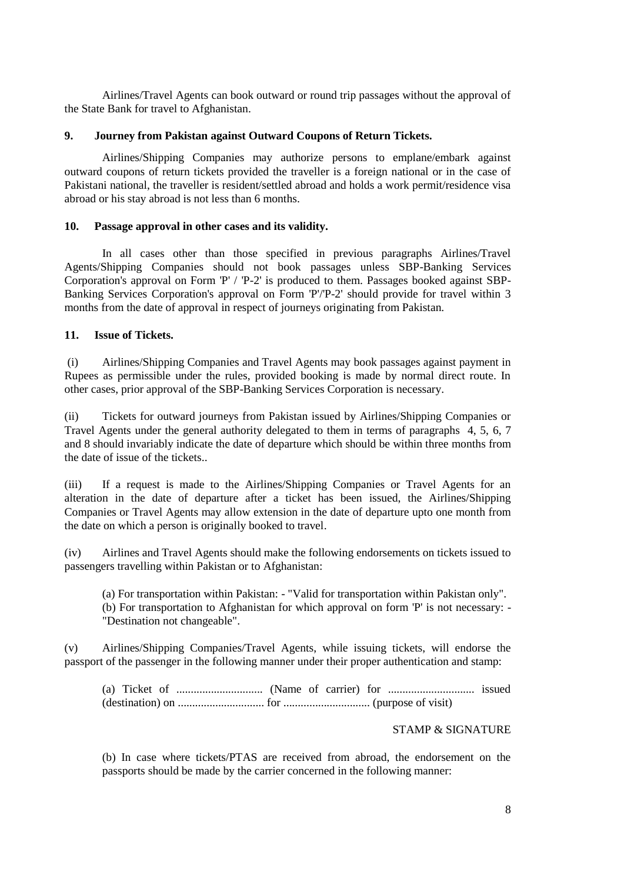Airlines/Travel Agents can book outward or round trip passages without the approval of the State Bank for travel to Afghanistan.

#### **9. Journey from Pakistan against Outward Coupons of Return Tickets.**

Airlines/Shipping Companies may authorize persons to emplane/embark against outward coupons of return tickets provided the traveller is a foreign national or in the case of Pakistani national, the traveller is resident/settled abroad and holds a work permit/residence visa abroad or his stay abroad is not less than 6 months.

## **10. Passage approval in other cases and its validity.**

In all cases other than those specified in previous paragraphs Airlines/Travel Agents/Shipping Companies should not book passages unless SBP-Banking Services Corporation's approval on Form ['P'](file:///C:/Users/imran8347/AppData/Local/Microsoft/Windows/AppData/Local/Microsoft/Windows/Temporary%20Internet%20Files/appendix%20files/appendix%205/ap5-71.htm) / ['P-2'](file:///C:/Users/imran8347/AppData/Local/Microsoft/Windows/AppData/Local/Microsoft/Windows/Temporary%20Internet%20Files/appendix%20files/appendix%205/ap5-72.htm) is produced to them. Passages booked against SBP-Banking Services Corporation's approval on Form ['P'](file:///C:/Users/imran8347/AppData/Local/Microsoft/Windows/AppData/Local/Microsoft/Windows/Temporary%20Internet%20Files/appendix%20files/appendix%205/ap5-71.htm)[/'P-2'](file:///C:/Users/imran8347/AppData/Local/Microsoft/Windows/AppData/Local/Microsoft/Windows/Temporary%20Internet%20Files/appendix%20files/appendix%205/ap5-72.htm) should provide for travel within 3 months from the date of approval in respect of journeys originating from Pakistan.

## **11. Issue of Tickets.**

(i) Airlines/Shipping Companies and Travel Agents may book passages against payment in Rupees as permissible under the rules, provided booking is made by normal direct route. In other cases, prior approval of the SBP-Banking Services Corporation is necessary.

(ii) Tickets for outward journeys from Pakistan issued by Airlines/Shipping Companies or Travel Agents under the general authority delegated to them in terms of paragraphs 4, 5, 6, 7 and 8 should invariably indicate the date of departure which should be within three months from the date of issue of the tickets..

(iii) If a request is made to the Airlines/Shipping Companies or Travel Agents for an alteration in the date of departure after a ticket has been issued, the Airlines/Shipping Companies or Travel Agents may allow extension in the date of departure upto one month from the date on which a person is originally booked to travel.

(iv) Airlines and Travel Agents should make the following endorsements on tickets issued to passengers travelling within Pakistan or to Afghanistan:

(a) For transportation within Pakistan: - "Valid for transportation within Pakistan only". (b) For transportation to Afghanistan for which approval on form ['P'](file:///C:/Users/imran8347/AppData/Local/Microsoft/Windows/AppData/Local/Microsoft/Windows/Temporary%20Internet%20Files/appendix%20files/appendix%205/ap5-71.htm) is not necessary: - "Destination not changeable".

(v) Airlines/Shipping Companies/Travel Agents, while issuing tickets, will endorse the passport of the passenger in the following manner under their proper authentication and stamp:

(a) Ticket of .............................. (Name of carrier) for .............................. issued (destination) on .............................. for .............................. (purpose of visit)

## STAMP & SIGNATURE

(b) In case where tickets/PTAS are received from abroad, the endorsement on the passports should be made by the carrier concerned in the following manner: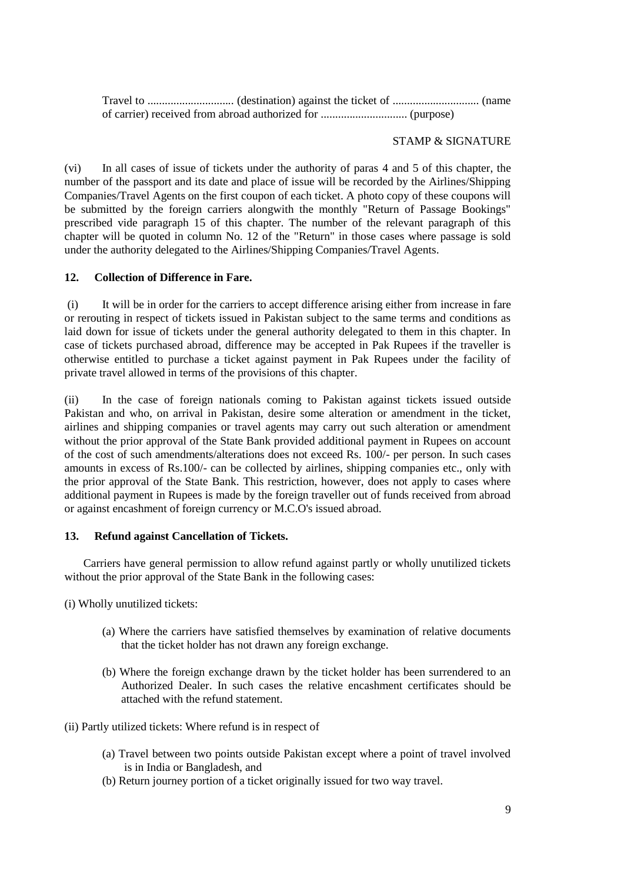Travel to .............................. (destination) against the ticket of .............................. (name of carrier) received from abroad authorized for .............................. (purpose)

## STAMP & SIGNATURE

(vi) In all cases of issue of tickets under the authority of paras [4](file:///C:/Users/imran8347/AppData/Local/Microsoft/Windows/AppData/Local/Microsoft/Windows/Temporary%20Internet%20Files/Content.Outlook/chapter17.htm%23Bullet%204) and [5](file:///C:/Users/imran8347/AppData/Local/Microsoft/Windows/AppData/Local/Microsoft/Windows/Temporary%20Internet%20Files/Content.Outlook/chapter17.htm%23Bullet%205) of this chapter, the number of the passport and its date and place of issue will be recorded by the Airlines/Shipping Companies/Travel Agents on the first coupon of each ticket. A photo copy of these coupons will be submitted by the foreign carriers alongwith the monthly "Return of Passage Bookings" prescribed vide paragraph [15](file:///C:/Users/imran8347/AppData/Local/Microsoft/Windows/AppData/Local/Microsoft/Windows/Temporary%20Internet%20Files/Content.Outlook/chapter17.htm%23Bullet%2016) of this chapter. The number of the relevant paragraph of this chapter will be quoted in column No. 12 of the "Return" in those cases where passage is sold under the authority delegated to the Airlines/Shipping Companies/Travel Agents.

# **12. Collection of Difference in Fare.**

(i) It will be in order for the carriers to accept difference arising either from increase in fare or rerouting in respect of tickets issued in Pakistan subject to the same terms and conditions as laid down for issue of tickets under the general authority delegated to them in this chapter. In case of tickets purchased abroad, difference may be accepted in Pak Rupees if the traveller is otherwise entitled to purchase a ticket against payment in Pak Rupees under the facility of private travel allowed in terms of the provisions of this chapter.

(ii) In the case of foreign nationals coming to Pakistan against tickets issued outside Pakistan and who, on arrival in Pakistan, desire some alteration or amendment in the ticket, airlines and shipping companies or travel agents may carry out such alteration or amendment without the prior approval of the State Bank provided additional payment in Rupees on account of the cost of such amendments/alterations does not exceed Rs. 100/- per person. In such cases amounts in excess of Rs.100/- can be collected by airlines, shipping companies etc., only with the prior approval of the State Bank. This restriction, however, does not apply to cases where additional payment in Rupees is made by the foreign traveller out of funds received from abroad or against encashment of foreign currency or M.C.O's issued abroad.

## **13. Refund against Cancellation of Tickets.**

Carriers have general permission to allow refund against partly or wholly unutilized tickets without the prior approval of the State Bank in the following cases:

- (i) Wholly unutilized tickets:
	- (a) Where the carriers have satisfied themselves by examination of relative documents that the ticket holder has not drawn any foreign exchange.
	- (b) Where the foreign exchange drawn by the ticket holder has been surrendered to an Authorized Dealer. In such cases the relative encashment certificates should be attached with the refund statement.
- (ii) Partly utilized tickets: Where refund is in respect of
	- (a) Travel between two points outside Pakistan except where a point of travel involved is in India or Bangladesh, and
	- (b) Return journey portion of a ticket originally issued for two way travel.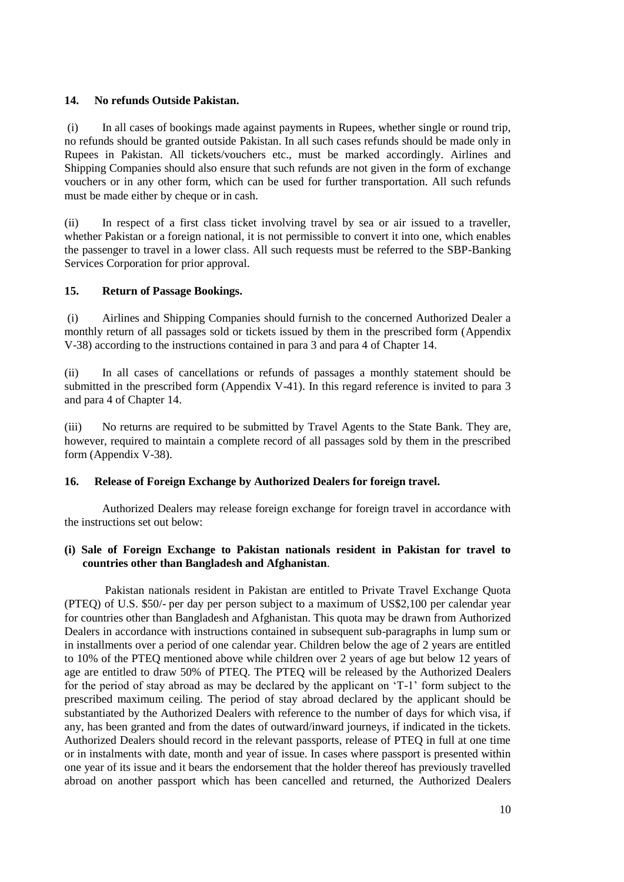## **14. No refunds Outside Pakistan.**

(i) In all cases of bookings made against payments in Rupees, whether single or round trip, no refunds should be granted outside Pakistan. In all such cases refunds should be made only in Rupees in Pakistan. All tickets/vouchers etc., must be marked accordingly. Airlines and Shipping Companies should also ensure that such refunds are not given in the form of exchange vouchers or in any other form, which can be used for further transportation. All such refunds must be made either by cheque or in cash.

(ii) In respect of a first class ticket involving travel by sea or air issued to a traveller, whether Pakistan or a foreign national, it is not permissible to convert it into one, which enables the passenger to travel in a lower class. All such requests must be referred to the SBP-Banking Services Corporation for prior approval.

# **15. Return of Passage Bookings.**

(i) Airlines and Shipping Companies should furnish to the concerned Authorized Dealer a monthly return of all passages sold or tickets issued by them in the prescribed form [\(Appendix](file:///C:/Users/imran8347/AppData/Local/Microsoft/Windows/AppData/Local/Microsoft/Windows/Temporary%20Internet%20Files/appendix%20files/appendix%205/ap5-47.htm)  [V-3](file:///C:/Users/imran8347/AppData/Local/Microsoft/Windows/AppData/Local/Microsoft/Windows/Temporary%20Internet%20Files/appendix%20files/appendix%205/ap5-47.htm)8) according to the instructions contained in para 3 and para 4 of [Chapter](file:///C:/Users/imran8347/AppData/Local/Microsoft/Windows/AppData/Local/Microsoft/Windows/Temporary%20Internet%20Files/Content.Outlook/chapter14.htm) 14.

(ii) In all cases of cancellations or refunds of passages a monthly statement should be submitted in the prescribed form [\(Appendix V-4](file:///C:/Users/imran8347/AppData/Local/Microsoft/Windows/AppData/Local/Microsoft/Windows/Temporary%20Internet%20Files/appendix%20files/appendix%205/ap5-52.htm)1). In this regard reference is invited to para 3 and para 4 of [Chapter](file:///C:/Users/imran8347/AppData/Local/Microsoft/Windows/AppData/Local/Microsoft/Windows/Temporary%20Internet%20Files/Content.Outlook/chapter14.htm) 14.

(iii) No returns are required to be submitted by Travel Agents to the State Bank. They are, however, required to maintain a complete record of all passages sold by them in the prescribed form [\(Appendix V-3](file:///C:/Users/imran8347/AppData/Local/Microsoft/Windows/AppData/Local/Microsoft/Windows/Temporary%20Internet%20Files/appendix%20files/appendix%205/ap5-47.htm)8).

## **16. Release of Foreign Exchange by Authorized Dealers for foreign travel.**

Authorized Dealers may release foreign exchange for foreign travel in accordance with the instructions set out below:

## **(i) Sale of Foreign Exchange to Pakistan nationals resident in Pakistan for travel to countries other than Bangladesh and Afghanistan**.

Pakistan nationals resident in Pakistan are entitled to Private Travel Exchange Quota (PTEQ) of U.S. \$50/- per day per person subject to a maximum of US\$2,100 per calendar year for countries other than Bangladesh and Afghanistan. This quota may be drawn from Authorized Dealers in accordance with instructions contained in subsequent sub-paragraphs in lump sum or in installments over a period of one calendar year. Children below the age of 2 years are entitled to 10% of the PTEQ mentioned above while children over 2 years of age but below 12 years of age are entitled to draw 50% of PTEQ. The PTEQ will be released by the Authorized Dealers for the period of stay abroad as may be declared by the applicant on 'T-1' form subject to the prescribed maximum ceiling. The period of stay abroad declared by the applicant should be substantiated by the Authorized Dealers with reference to the number of days for which visa, if any, has been granted and from the dates of outward/inward journeys, if indicated in the tickets. Authorized Dealers should record in the relevant passports, release of PTEQ in full at one time or in instalments with date, month and year of issue. In cases where passport is presented within one year of its issue and it bears the endorsement that the holder thereof has previously travelled abroad on another passport which has been cancelled and returned, the Authorized Dealers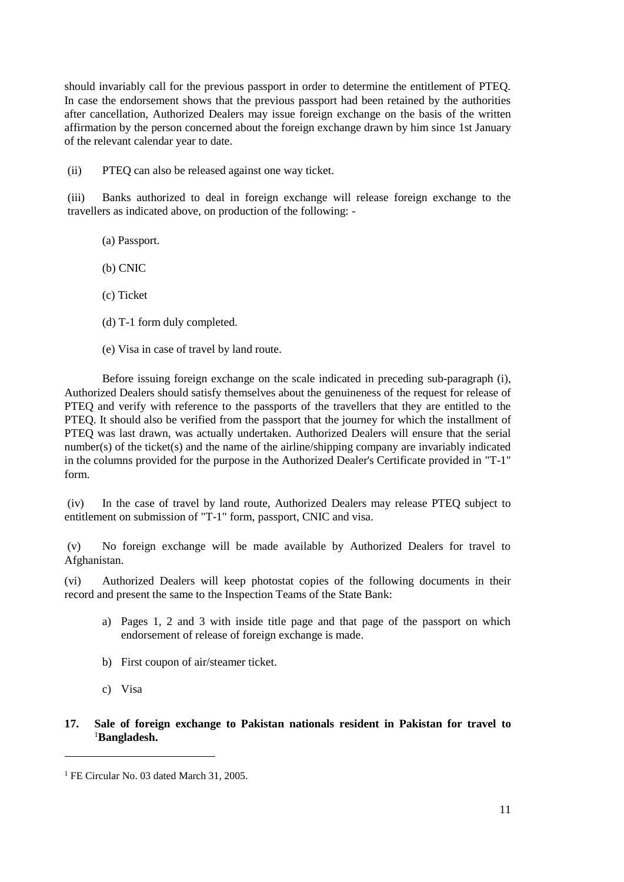should invariably call for the previous passport in order to determine the entitlement of PTEQ. In case the endorsement shows that the previous passport had been retained by the authorities after cancellation, Authorized Dealers may issue foreign exchange on the basis of the written affirmation by the person concerned about the foreign exchange drawn by him since 1st January of the relevant calendar year to date.

(ii) PTEQ can also be released against one way ticket.

(iii) Banks authorized to deal in foreign exchange will release foreign exchange to the travellers as indicated above, on production of the following: -

(a) Passport.

(b) CNIC

(c) Ticket

(d) [T-1 form](file:///C:/Users/imran8347/AppData/Local/Microsoft/Windows/AppData/Local/Microsoft/Windows/Temporary%20Internet%20Files/appendix%20files/appendix%205/ap5-73.htm) duly completed.

(e) Visa in case of travel by land route.

Before issuing foreign exchange on the scale indicated in preceding [sub-paragraph \(i\),](file:///C:/Users/imran8347/AppData/Local/Microsoft/Windows/AppData/Local/Microsoft/Windows/Temporary%20Internet%20Files/Content.Outlook/chapter17.htm%23Bullet%2017%20(i)) Authorized Dealers should satisfy themselves about the genuineness of the request for release of PTEQ and verify with reference to the passports of the travellers that they are entitled to the PTEQ. It should also be verified from the passport that the journey for which the installment of PTEQ was last drawn, was actually undertaken. Authorized Dealers will ensure that the serial number(s) of the ticket(s) and the name of the airline/shipping company are invariably indicated in the columns provided for the purpose in the Authorized Dealer's Certificate provided in ["T-1"](file:///C:/Users/imran8347/AppData/Local/Microsoft/Windows/AppData/Local/Microsoft/Windows/Temporary%20Internet%20Files/appendix%20files/appendix%205/ap5-73.htm)  [form.](file:///C:/Users/imran8347/AppData/Local/Microsoft/Windows/AppData/Local/Microsoft/Windows/Temporary%20Internet%20Files/appendix%20files/appendix%205/ap5-73.htm)

(iv) In the case of travel by land route, Authorized Dealers may release PTEQ subject to entitlement on submission of ["T-1" form,](file:///C:/Users/imran8347/AppData/Local/Microsoft/Windows/AppData/Local/Microsoft/Windows/Temporary%20Internet%20Files/appendix%20files/appendix%205/ap5-73.htm) passport, CNIC and visa.

(v) No foreign exchange will be made available by Authorized Dealers for travel to Afghanistan.

(vi) Authorized Dealers will keep photostat copies of the following documents in their record and present the same to the Inspection Teams of the State Bank:

- a) Pages 1, 2 and 3 with inside title page and that page of the passport on which endorsement of release of foreign exchange is made.
- b) First coupon of air/steamer ticket.
- c) Visa

 $\overline{a}$ 

## **17. Sale of foreign exchange to Pakistan nationals resident in Pakistan for travel to**  <sup>1</sup>**Bangladesh.**

<sup>&</sup>lt;sup>1</sup> FE Circular No. 03 dated March 31, 2005.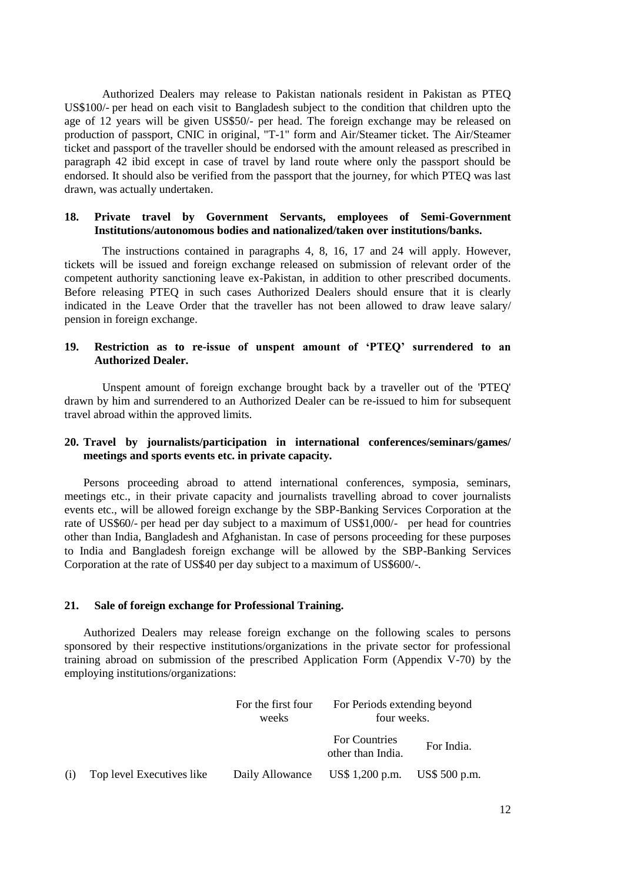Authorized Dealers may release to Pakistan nationals resident in Pakistan as PTEQ US\$100/- per head on each visit to Bangladesh subject to the condition that children upto the age of 12 years will be given US\$50/- per head. The foreign exchange may be released on production of passport, CNIC in original, ["T-1" form](file:///C:/Users/imran8347/AppData/Local/Microsoft/Windows/AppData/Local/Microsoft/Windows/Temporary%20Internet%20Files/appendix%20files/appendix%205/ap5-73.htm) and Air/Steamer ticket. The Air/Steamer ticket and passport of the traveller should be endorsed with the amount released as prescribed in [paragraph 4](file:///C:/Users/imran8347/AppData/Local/Microsoft/Windows/AppData/Local/Microsoft/Windows/Temporary%20Internet%20Files/Content.Outlook/chapter17.htm%23Bullet%2040)2 ibid except in case of travel by land route where only the passport should be endorsed. It should also be verified from the passport that the journey, for which PTEQ was last drawn, was actually undertaken.

## **18. Private travel by Government Servants, employees of Semi-Government Institutions/autonomous bodies and nationalized/taken over institutions/banks.**

The instructions contained in paragraphs [4,](file:///C:/Users/imran8347/AppData/Local/Microsoft/Windows/AppData/Local/Microsoft/Windows/Temporary%20Internet%20Files/Content.Outlook/chapter17.htm%23Bullet%204) [8,](file:///C:/Users/imran8347/AppData/Local/Microsoft/Windows/AppData/Local/Microsoft/Windows/Temporary%20Internet%20Files/Content.Outlook/chapter17.htm%23Bullet%209) [16,](file:///C:/Users/imran8347/AppData/Local/Microsoft/Windows/AppData/Local/Microsoft/Windows/Temporary%20Internet%20Files/Content.Outlook/chapter17.htm%23Bullet%2017) [17](file:///C:/Users/imran8347/AppData/Local/Microsoft/Windows/AppData/Local/Microsoft/Windows/Temporary%20Internet%20Files/Content.Outlook/chapter17.htm%23Bullet%2018) and [24](file:///C:/Users/imran8347/AppData/Local/Microsoft/Windows/AppData/Local/Microsoft/Windows/Temporary%20Internet%20Files/Content.Outlook/chapter17.htm%23Bullet%2025) will apply. However, tickets will be issued and foreign exchange released on submission of relevant order of the competent authority sanctioning leave ex-Pakistan, in addition to other prescribed documents. Before releasing PTEQ in such cases Authorized Dealers should ensure that it is clearly indicated in the Leave Order that the traveller has not been allowed to draw leave salary/ pension in foreign exchange.

#### **19. Restriction as to re-issue of unspent amount of 'PTEQ' surrendered to an Authorized Dealer.**

Unspent amount of foreign exchange brought back by a traveller out of the 'PTEQ' drawn by him and surrendered to an Authorized Dealer can be re-issued to him for subsequent travel abroad within the approved limits.

## **20. Travel by journalists/participation in international conferences/seminars/games/ meetings and sports events etc. in private capacity.**

Persons proceeding abroad to attend international conferences, symposia, seminars, meetings etc., in their private capacity and journalists travelling abroad to cover journalists events etc., will be allowed foreign exchange by the SBP-Banking Services Corporation at the rate of US\$60/- per head per day subject to a maximum of US\$1,000/- per head for countries other than India, Bangladesh and Afghanistan. In case of persons proceeding for these purposes to India and Bangladesh foreign exchange will be allowed by the SBP-Banking Services Corporation at the rate of US\$40 per day subject to a maximum of US\$600/-.

#### **21. Sale of foreign exchange for Professional Training.**

Authorized Dealers may release foreign exchange on the following scales to persons sponsored by their respective institutions/organizations in the private sector for professional training abroad on submission of the prescribed Application Form [\(Appendix V-7](file:///C:/Users/imran8347/AppData/Local/Microsoft/Windows/AppData/Local/Microsoft/Windows/Temporary%20Internet%20Files/appendix%20files/appendix%205/ap5-75.htm)0) by the employing institutions/organizations:

|     |                           | For the first four<br>weeks | For Periods extending beyond<br>four weeks. |            |
|-----|---------------------------|-----------------------------|---------------------------------------------|------------|
|     |                           |                             | For Countries<br>other than India.          | For India. |
| (i) | Top level Executives like | Daily Allowance             | US\$ 1,200 p.m. US\$ 500 p.m.               |            |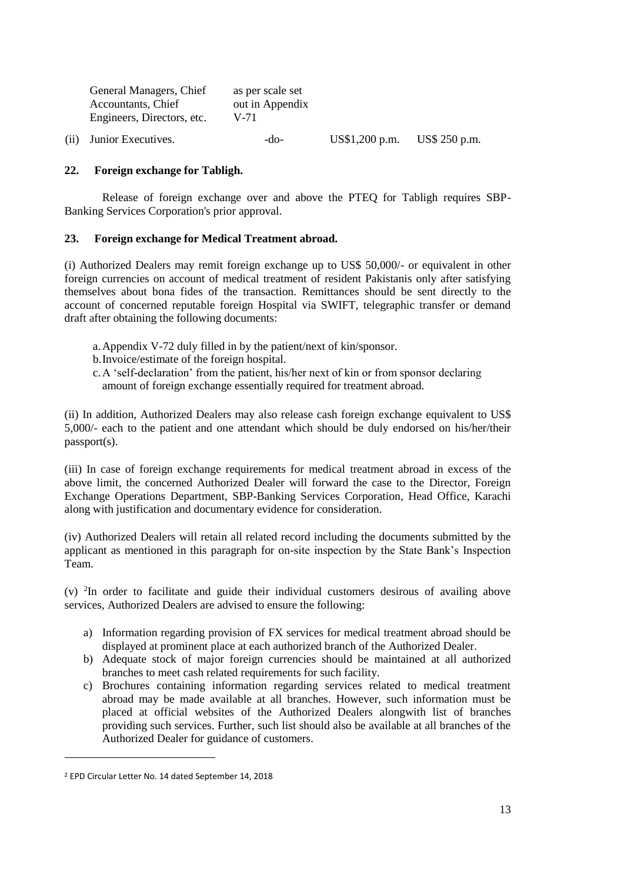| General Managers, Chief<br>Accountants, Chief<br>Engineers, Directors, etc. | as per scale set<br>out in Appendix<br>V-71 |                |               |
|-----------------------------------------------------------------------------|---------------------------------------------|----------------|---------------|
| (ii) Junior Executives.                                                     | -do-                                        | US\$1,200 p.m. | US\$ 250 p.m. |

# **22. Foreign exchange for Tabligh.**

Release of foreign exchange over and above the PTEQ for Tabligh requires SBP-Banking Services Corporation's prior approval.

## **23. Foreign exchange for Medical Treatment abroad.**

(i) Authorized Dealers may remit foreign exchange up to US\$ 50,000/- or equivalent in other foreign currencies on account of medical treatment of resident Pakistanis only after satisfying themselves about bona fides of the transaction. Remittances should be sent directly to the account of concerned reputable foreign Hospital via SWIFT, telegraphic transfer or demand draft after obtaining the following documents:

- a.Appendix V-72 duly filled in by the patient/next of kin/sponsor.
- b.Invoice/estimate of the foreign hospital.
- c.A 'self-declaration' from the patient, his/her next of kin or from sponsor declaring amount of foreign exchange essentially required for treatment abroad.

(ii) In addition, Authorized Dealers may also release cash foreign exchange equivalent to US\$ 5,000/- each to the patient and one attendant which should be duly endorsed on his/her/their passport(s).

(iii) In case of foreign exchange requirements for medical treatment abroad in excess of the above limit, the concerned Authorized Dealer will forward the case to the Director, Foreign Exchange Operations Department, SBP-Banking Services Corporation, Head Office, Karachi along with justification and documentary evidence for consideration.

(iv) Authorized Dealers will retain all related record including the documents submitted by the applicant as mentioned in this paragraph for on-site inspection by the State Bank's Inspection Team.

(v) <sup>2</sup> In order to facilitate and guide their individual customers desirous of availing above services, Authorized Dealers are advised to ensure the following:

- a) Information regarding provision of FX services for medical treatment abroad should be displayed at prominent place at each authorized branch of the Authorized Dealer.
- b) Adequate stock of major foreign currencies should be maintained at all authorized branches to meet cash related requirements for such facility.
- c) Brochures containing information regarding services related to medical treatment abroad may be made available at all branches. However, such information must be placed at official websites of the Authorized Dealers alongwith list of branches providing such services. Further, such list should also be available at all branches of the Authorized Dealer for guidance of customers.

<sup>2</sup> EPD Circular Letter No. 14 dated September 14, 2018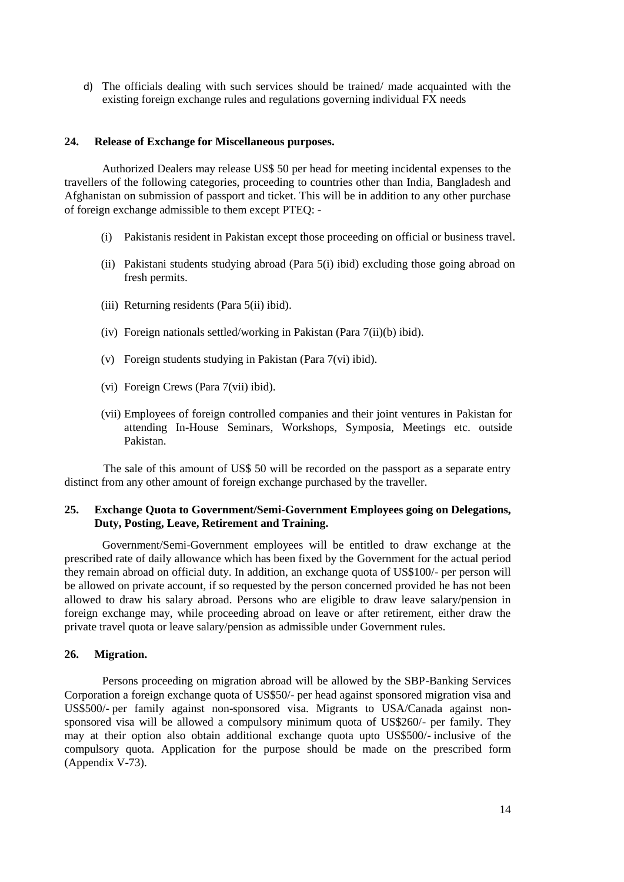d) The officials dealing with such services should be trained/ made acquainted with the existing foreign exchange rules and regulations governing individual FX needs

#### **24. Release of Exchange for Miscellaneous purposes.**

Authorized Dealers may release US\$ 50 per head for meeting incidental expenses to the travellers of the following categories, proceeding to countries other than India, Bangladesh and Afghanistan on submission of passport and ticket. This will be in addition to any other purchase of foreign exchange admissible to them except PTEQ: -

- (i) Pakistanis resident in Pakistan except those proceeding on official or business travel.
- (ii) Pakistani students studying abroad (Para 5(i) ibid) excluding those going abroad on fresh permits.
- (iii) Returning residents (Para 5(ii) ibid).
- (iv) Foreign nationals settled/working in Pakistan (Para 7(ii)(b) ibid).
- (v) Foreign students studying in Pakistan (Para 7(vi) ibid).
- (vi) Foreign Crews (Para 7(vii) ibid).
- (vii) Employees of foreign controlled companies and their joint ventures in Pakistan for attending In-House Seminars, Workshops, Symposia, Meetings etc. outside Pakistan.

The sale of this amount of US\$ 50 will be recorded on the passport as a separate entry distinct from any other amount of foreign exchange purchased by the traveller.

## **25. Exchange Quota to Government/Semi-Government Employees going on Delegations, Duty, Posting, Leave, Retirement and Training.**

Government/Semi-Government employees will be entitled to draw exchange at the prescribed rate of daily allowance which has been fixed by the Government for the actual period they remain abroad on official duty. In addition, an exchange quota of US\$100/- per person will be allowed on private account, if so requested by the person concerned provided he has not been allowed to draw his salary abroad. Persons who are eligible to draw leave salary/pension in foreign exchange may, while proceeding abroad on leave or after retirement, either draw the private travel quota or leave salary/pension as admissible under Government rules.

#### **26. Migration.**

Persons proceeding on migration abroad will be allowed by the SBP-Banking Services Corporation a foreign exchange quota of US\$50/- per head against sponsored migration visa and US\$500/- per family against non-sponsored visa. Migrants to USA/Canada against nonsponsored visa will be allowed a compulsory minimum quota of US\$260/- per family. They may at their option also obtain additional exchange quota upto US\$500/- inclusive of the compulsory quota. Application for the purpose should be made on the prescribed form [\(Appendix V-7](file:///C:/Users/imran8347/AppData/Local/Microsoft/Windows/AppData/Local/Microsoft/Windows/Temporary%20Internet%20Files/appendix%20files/appendix%205/ap5-78.htm)3).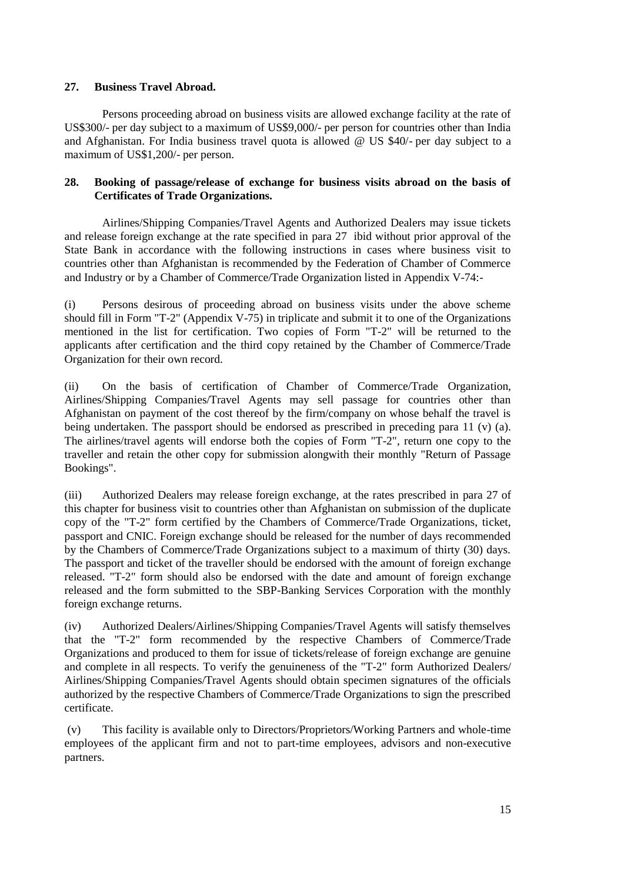## **27. Business Travel Abroad.**

Persons proceeding abroad on business visits are allowed exchange facility at the rate of US\$300/- per day subject to a maximum of US\$9,000/- per person for countries other than India and Afghanistan. For India business travel quota is allowed @ US \$40/- per day subject to a maximum of US\$1,200/- per person.

## **28. Booking of passage/release of exchange for business visits abroad on the basis of Certificates of Trade Organizations.**

Airlines/Shipping Companies/Travel Agents and Authorized Dealers may issue tickets and release foreign exchange at the rate specified in [para 27](file:///C:/Users/imran8347/AppData/Local/Microsoft/Windows/AppData/Local/Microsoft/Windows/Temporary%20Internet%20Files/Content.Outlook/chapter17.htm%23Bullet%2028) ibid without prior approval of the State Bank in accordance with the following instructions in cases where business visit to countries other than Afghanistan is recommended by the Federation of Chamber of Commerce and Industry or by a Chamber of Commerce/Trade Organization listed i[n Appendix V-7](file:///C:/Users/imran8347/AppData/Local/Microsoft/Windows/AppData/Local/Microsoft/Windows/Temporary%20Internet%20Files/appendix%20files/appendix%205/ap5-79.htm)4:-

(i) Persons desirous of proceeding abroad on business visits under the above scheme should fill i[n Form "T-2"](file:///C:/Users/imran8347/AppData/Local/Microsoft/Windows/AppData/Local/Microsoft/Windows/Temporary%20Internet%20Files/appendix%20files/appendix%205/ap5-80.htm) [\(Appendix V-7](file:///C:/Users/imran8347/AppData/Local/Microsoft/Windows/AppData/Local/Microsoft/Windows/Temporary%20Internet%20Files/appendix%20files/appendix%205/ap5-80.htm)5) in triplicate and submit it to one of the Organizations mentioned in the list for certification. Two copies of [Form "T-2"](file:///C:/Users/imran8347/AppData/Local/Microsoft/Windows/AppData/Local/Microsoft/Windows/Temporary%20Internet%20Files/appendix%20files/appendix%205/ap5-80.htm) will be returned to the applicants after certification and the third copy retained by the Chamber of Commerce/Trade Organization for their own record.

(ii) On the basis of certification of Chamber of Commerce/Trade Organization, Airlines/Shipping Companies/Travel Agents may sell passage for countries other than Afghanistan on payment of the cost thereof by the firm/company on whose behalf the travel is being undertaken. The passport should be endorsed as prescribed in preceding [para 11 \(v\) \(a\).](file:///C:/Users/imran8347/AppData/Local/Microsoft/Windows/AppData/Local/Microsoft/Windows/Temporary%20Internet%20Files/Content.Outlook/chapter17.htm%23Bullet%2012%20(e)%20(i)) The airlines/travel agents will endorse both the copies of [Form "T-2",](file:///C:/Users/imran8347/AppData/Local/Microsoft/Windows/AppData/Local/Microsoft/Windows/Temporary%20Internet%20Files/appendix%20files/appendix%205/ap5-80.htm) return one copy to the traveller and retain the other copy for submission alongwith their monthly "Return of Passage Bookings".

(iii) Authorized Dealers may release foreign exchange, at the rates prescribed in [para 2](file:///C:/Users/imran8347/AppData/Local/Microsoft/Windows/AppData/Local/Microsoft/Windows/Temporary%20Internet%20Files/Content.Outlook/chapter17.htm%23Bullet%2028)7 of this chapter for business visit to countries other than Afghanistan on submission of the duplicate copy of the ["T-2" form](file:///C:/Users/imran8347/AppData/Local/Microsoft/Windows/AppData/Local/Microsoft/Windows/Temporary%20Internet%20Files/appendix%20files/appendix%205/ap5-80.htm) certified by the Chambers of Commerce/Trade Organizations, ticket, passport and CNIC. Foreign exchange should be released for the number of days recommended by the Chambers of Commerce/Trade Organizations subject to a maximum of thirty (30) days. The passport and ticket of the traveller should be endorsed with the amount of foreign exchange released. ["T-2" form](file:///C:/Users/imran8347/AppData/Local/Microsoft/Windows/AppData/Local/Microsoft/Windows/Temporary%20Internet%20Files/appendix%20files/appendix%205/ap5-80.htm) should also be endorsed with the date and amount of foreign exchange released and the form submitted to the SBP-Banking Services Corporation with the monthly foreign exchange returns.

(iv) Authorized Dealers/Airlines/Shipping Companies/Travel Agents will satisfy themselves that the ["T-2" form](file:///C:/Users/imran8347/AppData/Local/Microsoft/Windows/AppData/Local/Microsoft/Windows/Temporary%20Internet%20Files/appendix%20files/appendix%205/ap5-80.htm) recommended by the respective Chambers of Commerce/Trade Organizations and produced to them for issue of tickets/release of foreign exchange are genuine and complete in all respects. To verify the genuineness of the ["T-2" form](file:///C:/Users/imran8347/AppData/Local/Microsoft/Windows/AppData/Local/Microsoft/Windows/Temporary%20Internet%20Files/appendix%20files/appendix%205/ap5-80.htm) Authorized Dealers/ Airlines/Shipping Companies/Travel Agents should obtain specimen signatures of the officials authorized by the respective Chambers of Commerce/Trade Organizations to sign the prescribed certificate.

(v) This facility is available only to Directors/Proprietors/Working Partners and whole-time employees of the applicant firm and not to part-time employees, advisors and non-executive partners.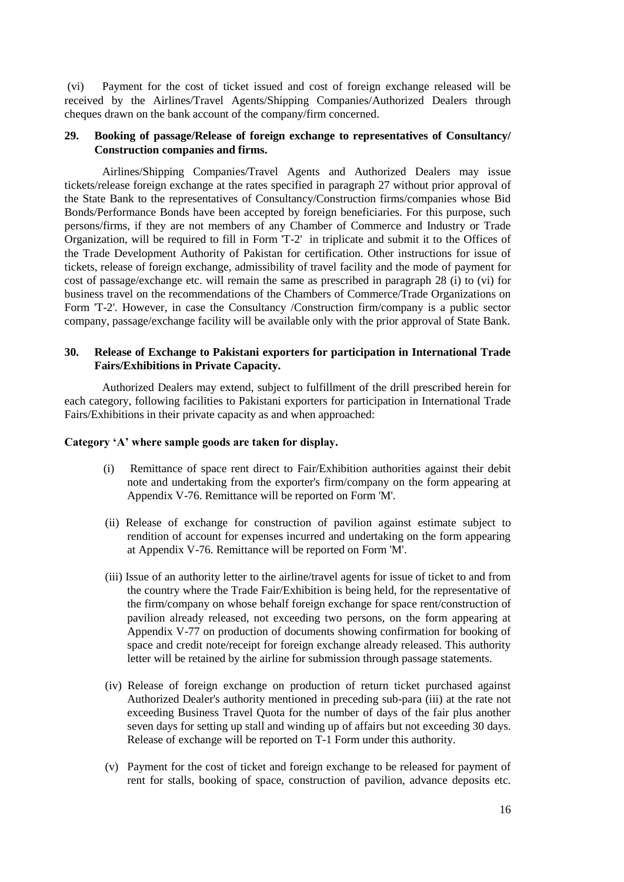(vi) Payment for the cost of ticket issued and cost of foreign exchange released will be received by the Airlines/Travel Agents/Shipping Companies/Authorized Dealers through cheques drawn on the bank account of the company/firm concerned.

# **29. Booking of passage/Release of foreign exchange to representatives of Consultancy/ Construction companies and firms.**

Airlines/Shipping Companies/Travel Agents and Authorized Dealers may issue tickets/release foreign exchange at the rates specified in [paragraph 27](file:///C:/Users/imran8347/AppData/Local/Microsoft/Windows/AppData/Local/Microsoft/Windows/Temporary%20Internet%20Files/Content.Outlook/chapter17.htm%23Bullet%2028) without prior approval of the State Bank to the representatives of Consultancy/Construction firms/companies whose Bid Bonds/Performance Bonds have been accepted by foreign beneficiaries. For this purpose, such persons/firms, if they are not members of any Chamber of Commerce and Industry or Trade Organization, will be required to fill in [Form 'T-2'](file:///C:/Users/imran8347/AppData/Local/Microsoft/Windows/AppData/Local/Microsoft/Windows/Temporary%20Internet%20Files/appendix%20files/appendix%205/ap5-80.htm) in triplicate and submit it to the Offices of the Trade Development Authority of Pakistan for certification. Other instructions for issue of tickets, release of foreign exchange, admissibility of travel facility and the mode of payment for cost of passage/exchange etc. will remain the same as prescribed in paragraph 28 [\(i\)](file:///C:/Users/imran8347/AppData/Local/Microsoft/Windows/AppData/Local/Microsoft/Windows/Temporary%20Internet%20Files/Content.Outlook/chapter17.htm%23Bullet%2029%20(i)) to [\(vi\)](file:///C:/Users/imran8347/AppData/Local/Microsoft/Windows/AppData/Local/Microsoft/Windows/Temporary%20Internet%20Files/Content.Outlook/chapter17.htm%23Bullet%2029%20(vi)) for business travel on the recommendations of the Chambers of Commerce/Trade Organizations on [Form 'T-2'.](file:///C:/Users/imran8347/AppData/Local/Microsoft/Windows/AppData/Local/Microsoft/Windows/Temporary%20Internet%20Files/appendix%20files/appendix%205/ap5-80.htm) However, in case the Consultancy /Construction firm/company is a public sector company, passage/exchange facility will be available only with the prior approval of State Bank.

## **30. Release of Exchange to Pakistani exporters for participation in International Trade Fairs/Exhibitions in Private Capacity.**

Authorized Dealers may extend, subject to fulfillment of the drill prescribed herein for each category, following facilities to Pakistani exporters for participation in International Trade Fairs/Exhibitions in their private capacity as and when approached:

#### **Category 'A' where sample goods are taken for display.**

- (i) Remittance of space rent direct to Fair/Exhibition authorities against their debit note and undertaking from the exporter's firm/company on the form appearing at [Appendix V-7](file:///C:/Users/imran8347/AppData/Local/Microsoft/Windows/AppData/Local/Microsoft/Windows/Temporary%20Internet%20Files/appendix%20files/appendix%205/ap5-81.htm)6. Remittance will be reported o[n Form 'M'.](file:///C:/Users/imran8347/AppData/Local/Microsoft/Windows/AppData/Local/Microsoft/Windows/Temporary%20Internet%20Files/appendix%20files/appendix%205/ap5-10.htm)
- (ii) Release of exchange for construction of pavilion against estimate subject to rendition of account for expenses incurred and undertaking on the form appearing at [Appendix V-7](file:///C:/Users/imran8347/AppData/Local/Microsoft/Windows/AppData/Local/Microsoft/Windows/Temporary%20Internet%20Files/appendix%20files/appendix%205/ap5-81.htm)6. Remittance will be reported on [Form 'M'.](file:///C:/Users/imran8347/AppData/Local/Microsoft/Windows/AppData/Local/Microsoft/Windows/Original%20Manual/appendix%20files/appendix%205/ap5-10.htm)
- (iii) Issue of an authority letter to the airline/travel agents for issue of ticket to and from the country where the Trade Fair/Exhibition is being held, for the representative of the firm/company on whose behalf foreign exchange for space rent/construction of pavilion already released, not exceeding two persons, on the form appearing at [Appendix V-7](file:///C:/Users/imran8347/AppData/Local/Microsoft/Windows/AppData/Local/Microsoft/Windows/Temporary%20Internet%20Files/appendix%20files/appendix%205/ap5-82.htm)7 on production of documents showing confirmation for booking of space and credit note/receipt for foreign exchange already released. This authority letter will be retained by the airline for submission through passage statements.
- (iv) Release of foreign exchange on production of return ticket purchased against Authorized Dealer's authority mentioned in preceding [sub-para \(iii\) a](file:///C:/Users/imran8347/AppData/Local/Microsoft/Windows/AppData/Local/Microsoft/Windows/Temporary%20Internet%20Files/Content.Outlook/chapter17.htm%23Bullet%2031%20(iii))t the rate not exceeding Business Travel Quota for the number of days of the fair plus another seven days for setting up stall and winding up of affairs but not exceeding 30 days. Release of exchange will be reported o[n T-1 Form](file:///C:/Users/imran8347/AppData/Local/Microsoft/Windows/AppData/Local/Microsoft/Windows/Temporary%20Internet%20Files/appendix%20files/appendix%205/ap5-73.htm) under this authority.
- (v) Payment for the cost of ticket and foreign exchange to be released for payment of rent for stalls, booking of space, construction of pavilion, advance deposits etc.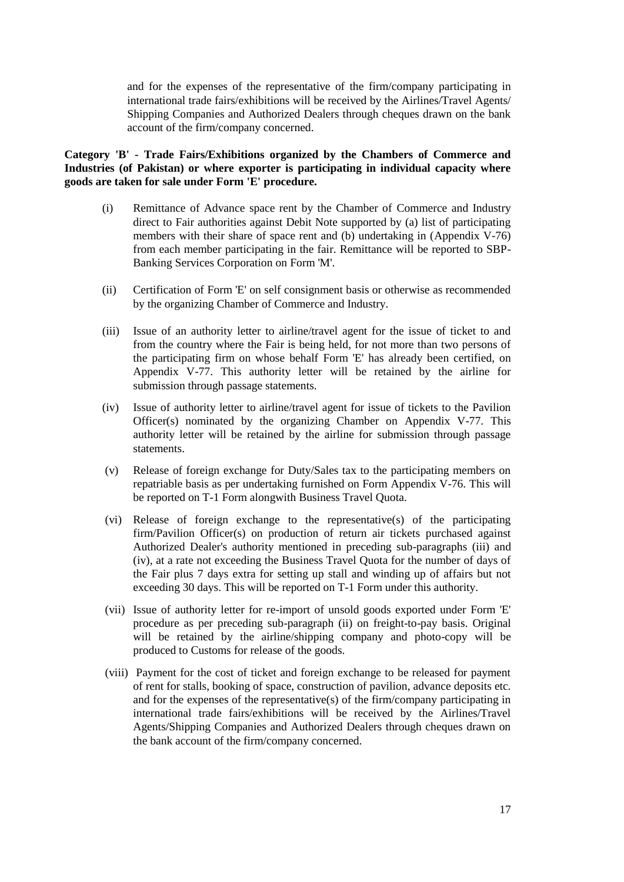and for the expenses of the representative of the firm/company participating in international trade fairs/exhibitions will be received by the Airlines/Travel Agents/ Shipping Companies and Authorized Dealers through cheques drawn on the bank account of the firm/company concerned.

# **Category 'B' - Trade Fairs/Exhibitions organized by the Chambers of Commerce and Industries (of Pakistan) or where exporter is participating in individual capacity where goods are taken for sale under Form 'E' procedure.**

- (i) Remittance of Advance space rent by the Chamber of Commerce and Industry direct to Fair authorities against Debit Note supported by (a) list of participating members with their share of space rent and (b) undertaking in [\(Appendix V-7](file:///C:/Users/imran8347/AppData/Local/Microsoft/Windows/AppData/Local/Microsoft/Windows/Temporary%20Internet%20Files/appendix%20files/appendix%205/ap5-81.htm)6) from each member participating in the fair. Remittance will be reported to SBP-Banking Services Corporation o[n Form 'M'.](file:///C:/Users/imran8347/AppData/Local/Microsoft/Windows/AppData/Local/Microsoft/Windows/Temporary%20Internet%20Files/appendix%20files/appendix%205/ap5-10.htm)
- (ii) Certification of [Form 'E'](file:///C:/Users/imran8347/AppData/Local/Microsoft/Windows/AppData/Local/Microsoft/Windows/Temporary%20Internet%20Files/appendix%20files/appendix%205/ap5-13.htm) on self consignment basis or otherwise as recommended by the organizing Chamber of Commerce and Industry.
- (iii) Issue of an authority letter to airline/travel agent for the issue of ticket to and from the country where the Fair is being held, for not more than two persons of the participating firm on whose behalf [Form 'E'](file:///C:/Users/imran8347/AppData/Local/Microsoft/Windows/AppData/Local/Microsoft/Windows/Temporary%20Internet%20Files/appendix%20files/appendix%205/ap5-13.htm) has already been certified, on [Appendix V-7](file:///C:/Users/imran8347/AppData/Local/Microsoft/Windows/AppData/Local/Microsoft/Windows/Temporary%20Internet%20Files/appendix%20files/appendix%205/ap5-82.htm)7. This authority letter will be retained by the airline for submission through passage statements.
- (iv) Issue of authority letter to airline/travel agent for issue of tickets to the Pavilion Officer(s) nominated by the organizing Chamber on [Appendix V-7](file:///C:/Users/imran8347/AppData/Local/Microsoft/Windows/AppData/Local/Microsoft/Windows/Temporary%20Internet%20Files/appendix%20files/appendix%205/ap5-82.htm)7. This authority letter will be retained by the airline for submission through passage statements.
- (v) Release of foreign exchange for Duty/Sales tax to the participating members on repatriable basis as per undertaking furnished on Form [Appendix V-7](file:///C:/Users/imran8347/AppData/Local/Microsoft/Windows/AppData/Local/Microsoft/Windows/Temporary%20Internet%20Files/appendix%20files/appendix%205/ap5-81.htm)6. This will be reported on [T-1](file:///C:/Users/imran8347/AppData/Local/Microsoft/Windows/AppData/Local/Microsoft/Windows/Temporary%20Internet%20Files/appendix%20files/appendix%205/ap5-73.htm) Form alongwith Business Travel Quota.
- (vi) Release of foreign exchange to the representative(s) of the participating firm/Pavilion Officer(s) on production of return air tickets purchased against Authorized Dealer's authority mentioned in preceding sub-paragraphs [\(iii\)](file:///C:/Users/imran8347/AppData/Local/Microsoft/Windows/AppData/Local/Microsoft/Windows/Temporary%20Internet%20Files/Content.Outlook/chapter17.htm%23Bullet%2031%20B%20(iii)) and [\(iv\),](file:///C:/Users/imran8347/AppData/Local/Microsoft/Windows/AppData/Local/Microsoft/Windows/Temporary%20Internet%20Files/Content.Outlook/chapter17.htm%23Bullet%2031%20B%20(iv)) at a rate not exceeding the Business Travel Quota for the number of days of the Fair plus 7 days extra for setting up stall and winding up of affairs but not exceeding 30 days. This will be reported on [T-1 Form](file:///C:/Users/imran8347/AppData/Local/Microsoft/Windows/AppData/Local/Microsoft/Windows/Temporary%20Internet%20Files/appendix%20files/appendix%205/ap5-73.htm) under this authority.
- (vii) Issue of authority letter for re-import of unsold goods exported under [Form 'E'](file:///C:/Users/imran8347/AppData/Local/Microsoft/Windows/AppData/Local/Microsoft/Windows/Temporary%20Internet%20Files/appendix%20files/appendix%205/ap5-13.htm) procedure as per preceding [sub-paragraph \(ii\)](file:///C:/Users/imran8347/AppData/Local/Microsoft/Windows/AppData/Local/Microsoft/Windows/Temporary%20Internet%20Files/Content.Outlook/chapter17.htm%23Bullet%2031%20B%20(ii)) on freight-to-pay basis. Original will be retained by the airline/shipping company and photo-copy will be produced to Customs for release of the goods.
- (viii) Payment for the cost of ticket and foreign exchange to be released for payment of rent for stalls, booking of space, construction of pavilion, advance deposits etc. and for the expenses of the representative(s) of the firm/company participating in international trade fairs/exhibitions will be received by the Airlines/Travel Agents/Shipping Companies and Authorized Dealers through cheques drawn on the bank account of the firm/company concerned.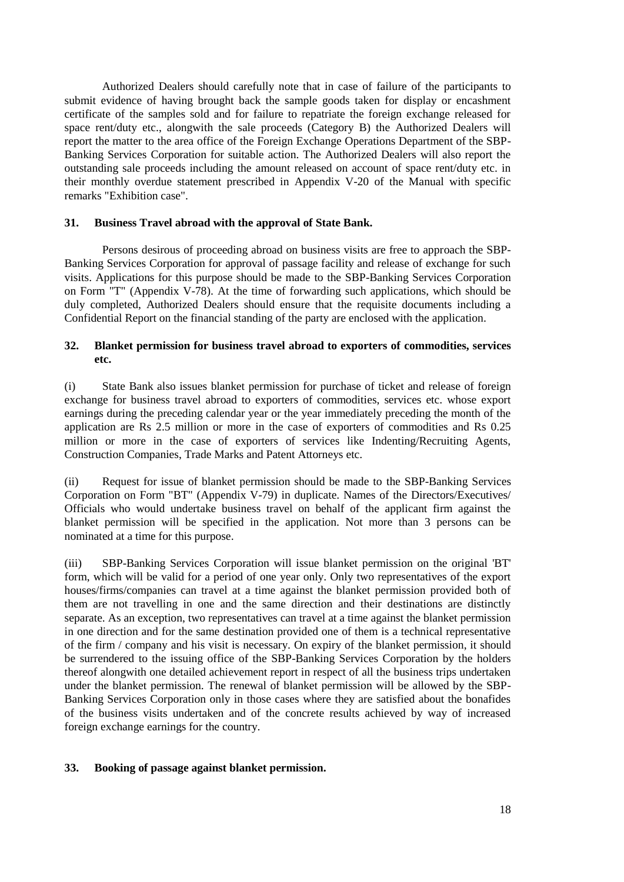Authorized Dealers should carefully note that in case of failure of the participants to submit evidence of having brought back the sample goods taken for display or encashment certificate of the samples sold and for failure to repatriate the foreign exchange released for space rent/duty etc., alongwith the sale proceeds (Category B) the Authorized Dealers will report the matter to the area office of the Foreign Exchange Operations Department of the SBP-Banking Services Corporation for suitable action. The Authorized Dealers will also report the outstanding sale proceeds including the amount released on account of space rent/duty etc. in their monthly overdue statement prescribed in [Appendix V-2](file:///C:/Users/imran8347/AppData/Local/Microsoft/Windows/AppData/Local/Microsoft/Windows/Temporary%20Internet%20Files/appendix%20files/appendix%205/ap5-16.htm)0 of the Manual with specific remarks "Exhibition case".

#### **31. Business Travel abroad with the approval of State Bank.**

Persons desirous of proceeding abroad on business visits are free to approach the SBP-Banking Services Corporation for approval of passage facility and release of exchange for such visits. Applications for this purpose should be made to the SBP-Banking Services Corporation on [Form "T"](file:///C:/Users/imran8347/AppData/Local/Microsoft/Windows/AppData/Local/Microsoft/Windows/Temporary%20Internet%20Files/appendix%20files/appendix%205/ap5-83.htm) [\(Appendix V-7](file:///C:/Users/imran8347/AppData/Local/Microsoft/Windows/AppData/Local/Microsoft/Windows/Temporary%20Internet%20Files/appendix%20files/appendix%205/ap5-83.htm)8). At the time of forwarding such applications, which should be duly completed, Authorized Dealers should ensure that the requisite documents including a Confidential Report on the financial standing of the party are enclosed with the application.

## **32. Blanket permission for business travel abroad to exporters of commodities, services etc.**

(i) State Bank also issues blanket permission for purchase of ticket and release of foreign exchange for business travel abroad to exporters of commodities, services etc. whose export earnings during the preceding calendar year or the year immediately preceding the month of the application are Rs 2.5 million or more in the case of exporters of commodities and Rs 0.25 million or more in the case of exporters of services like Indenting/Recruiting Agents, Construction Companies, Trade Marks and Patent Attorneys etc.

(ii) Request for issue of blanket permission should be made to the SBP-Banking Services Corporation on [Form "BT"](file:///C:/Users/imran8347/AppData/Local/Microsoft/Windows/AppData/Local/Microsoft/Windows/Temporary%20Internet%20Files/appendix%20files/appendix%205/ap5-84.htm) [\(Appendix V-7](file:///C:/Users/imran8347/AppData/Local/Microsoft/Windows/AppData/Local/Microsoft/Windows/Temporary%20Internet%20Files/appendix%20files/appendix%205/ap5-84.htm)9) in duplicate. Names of the Directors/Executives/ Officials who would undertake business travel on behalf of the applicant firm against the blanket permission will be specified in the application. Not more than 3 persons can be nominated at a time for this purpose.

(iii) SBP-Banking Services Corporation will issue blanket permission on the original ['BT'](file:///C:/Users/imran8347/AppData/Local/Microsoft/Windows/AppData/Local/Microsoft/Windows/Temporary%20Internet%20Files/appendix%20files/appendix%205/ap5-84.htm)  [form,](file:///C:/Users/imran8347/AppData/Local/Microsoft/Windows/AppData/Local/Microsoft/Windows/Temporary%20Internet%20Files/appendix%20files/appendix%205/ap5-84.htm) which will be valid for a period of one year only. Only two representatives of the export houses/firms/companies can travel at a time against the blanket permission provided both of them are not travelling in one and the same direction and their destinations are distinctly separate. As an exception, two representatives can travel at a time against the blanket permission in one direction and for the same destination provided one of them is a technical representative of the firm / company and his visit is necessary. On expiry of the blanket permission, it should be surrendered to the issuing office of the SBP-Banking Services Corporation by the holders thereof alongwith one detailed achievement report in respect of all the business trips undertaken under the blanket permission. The renewal of blanket permission will be allowed by the SBP-Banking Services Corporation only in those cases where they are satisfied about the bonafides of the business visits undertaken and of the concrete results achieved by way of increased foreign exchange earnings for the country.

## **33. Booking of passage against blanket permission.**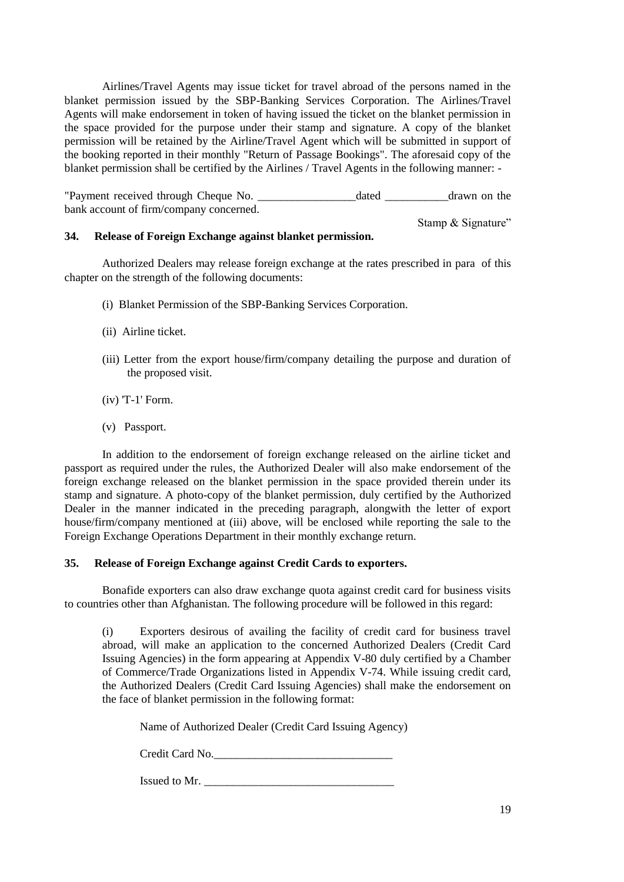Airlines/Travel Agents may issue ticket for travel abroad of the persons named in the blanket permission issued by the SBP-Banking Services Corporation. The Airlines/Travel Agents will make endorsement in token of having issued the ticket on the blanket permission in the space provided for the purpose under their stamp and signature. A copy of the blanket permission will be retained by the Airline/Travel Agent which will be submitted in support of the booking reported in their monthly "Return of Passage Bookings". The aforesaid copy of the blanket permission shall be certified by the Airlines / Travel Agents in the following manner: -

"Payment received through Cheque No. \_\_\_\_\_\_\_\_\_\_\_\_\_\_\_\_\_dated \_\_\_\_\_\_\_\_\_\_\_drawn on the bank account of firm/company concerned.

Stamp & Signature"

## **34. Release of Foreign Exchange against blanket permission.**

Authorized Dealers may release foreign exchange at the rates prescribed in [para](file:///C:/Users/imran8347/AppData/Local/Microsoft/Windows/AppData/Local/Microsoft/Windows/Temporary%20Internet%20Files/Content.Outlook/chapter17.htm%23Bullet%2028) of this chapter on the strength of the following documents:

- (i) Blanket Permission of the SBP-Banking Services Corporation.
- (ii) Airline ticket.
- (iii) Letter from the export house/firm/company detailing the purpose and duration of the proposed visit.
- (iv) ['T-1' Form.](file:///C:/Users/imran8347/AppData/Local/Microsoft/Windows/AppData/Local/Microsoft/Windows/Temporary%20Internet%20Files/appendix%20files/appendix%205/ap5-73.htm)
- (v) Passport.

In addition to the endorsement of foreign exchange released on the airline ticket and passport as required under the rules, the Authorized Dealer will also make endorsement of the foreign exchange released on the blanket permission in the space provided therein under its stamp and signature. A photo-copy of the blanket permission, duly certified by the Authorized Dealer in the manner indicated in the preceding paragraph, alongwith the letter of export house/firm/company mentioned at (iii) above, will be enclosed while reporting the sale to the Foreign Exchange Operations Department in their monthly exchange return.

#### **35. Release of Foreign Exchange against Credit Cards to exporters.**

Bonafide exporters can also draw exchange quota against credit card for business visits to countries other than Afghanistan. The following procedure will be followed in this regard:

(i) Exporters desirous of availing the facility of credit card for business travel abroad, will make an application to the concerned Authorized Dealers (Credit Card Issuing Agencies) in the form appearing at [Appendix V-8](file:///C:/Users/imran8347/AppData/Local/Microsoft/Windows/AppData/Local/Microsoft/Windows/Temporary%20Internet%20Files/appendix%20files/appendix%205/ap5-85.htm)0 duly certified by a Chamber of Commerce/Trade Organizations listed in Appendix [V-7](file:///C:/Users/imran8347/AppData/Local/Microsoft/Windows/AppData/Local/Microsoft/Windows/Temporary%20Internet%20Files/appendix%20files/appendix%205/ap5-79.htm)4. While issuing credit card, the Authorized Dealers (Credit Card Issuing Agencies) shall make the endorsement on the face of blanket permission in the following format:

Name of Authorized Dealer (Credit Card Issuing Agency)

Credit Card No.\_\_\_\_\_\_\_\_\_\_\_\_\_\_\_\_\_\_\_\_\_\_\_\_\_\_\_\_\_\_\_

Issued to Mr. \_\_\_\_\_\_\_\_\_\_\_\_\_\_\_\_\_\_\_\_\_\_\_\_\_\_\_\_\_\_\_\_\_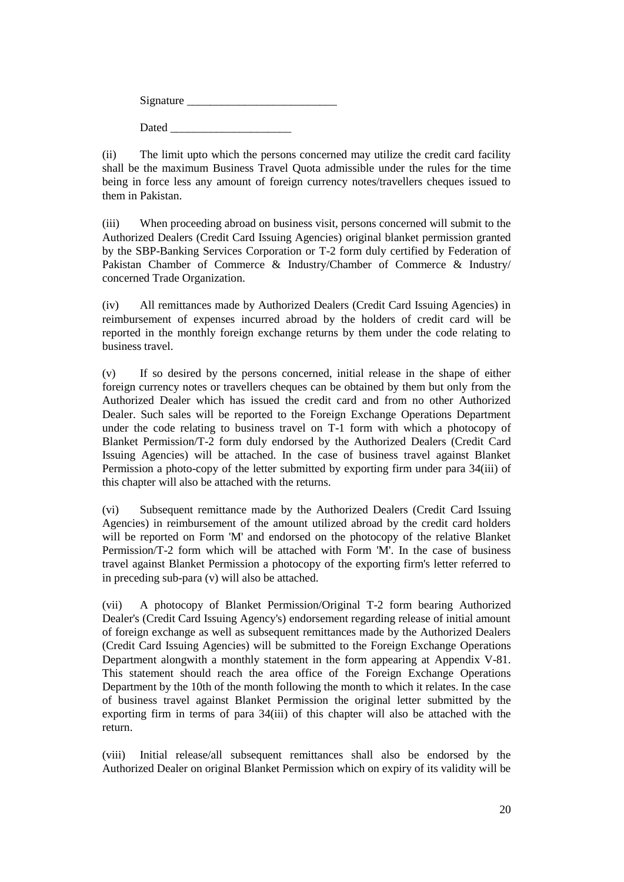| Signature |  |  |
|-----------|--|--|
| Dated     |  |  |

(ii) The limit upto which the persons concerned may utilize the credit card facility shall be the maximum Business Travel Quota admissible under the rules for the time being in force less any amount of foreign currency notes/travellers cheques issued to them in Pakistan.

(iii) When proceeding abroad on business visit, persons concerned will submit to the Authorized Dealers (Credit Card Issuing Agencies) original blanket permission granted by the SBP-Banking Services Corporation or [T-2 form](file:///C:/Users/imran8347/AppData/Local/Microsoft/Windows/AppData/Local/Microsoft/Windows/Temporary%20Internet%20Files/appendix%20files/appendix%205/ap5-80.htm) duly certified by Federation of Pakistan Chamber of Commerce & Industry/Chamber of Commerce & Industry/ concerned Trade Organization.

(iv) All remittances made by Authorized Dealers (Credit Card Issuing Agencies) in reimbursement of expenses incurred abroad by the holders of credit card will be reported in the monthly foreign exchange returns by them under the code relating to business travel.

(v) If so desired by the persons concerned, initial release in the shape of either foreign currency notes or travellers cheques can be obtained by them but only from the Authorized Dealer which has issued the credit card and from no other Authorized Dealer. Such sales will be reported to the Foreign Exchange Operations Department under the code relating to business travel on [T-1 form](file:///C:/Users/imran8347/AppData/Local/Microsoft/Windows/AppData/Local/Microsoft/Windows/Temporary%20Internet%20Files/appendix%20files/appendix%205/ap5-73.htm) with which a photocopy of Blanket Permission[/T-2 form](file:///C:/Users/imran8347/AppData/Local/Microsoft/Windows/AppData/Local/Microsoft/Windows/Temporary%20Internet%20Files/appendix%20files/appendix%205/ap5-80.htm) duly endorsed by the Authorized Dealers (Credit Card Issuing Agencies) will be attached. In the case of business travel against Blanket Permission a photo-copy of the letter submitted by exporting firm under [para 34\(iii\) of](file:///C:/Users/imran8347/AppData/Local/Microsoft/Windows/AppData/Local/Microsoft/Windows/Temporary%20Internet%20Files/Content.Outlook/chapter17.htm%23Bullet%2035%20(iii))  [this chapter](file:///C:/Users/imran8347/AppData/Local/Microsoft/Windows/AppData/Local/Microsoft/Windows/Temporary%20Internet%20Files/Content.Outlook/chapter17.htm%23Bullet%2035%20(iii)) will also be attached with the returns.

(vi) Subsequent remittance made by the Authorized Dealers (Credit Card Issuing Agencies) in reimbursement of the amount utilized abroad by the credit card holders will be reported on [Form 'M'](file:///C:/Users/imran8347/AppData/Local/Microsoft/Windows/AppData/Local/Microsoft/Windows/Temporary%20Internet%20Files/appendix%20files/appendix%205/ap5-10.htm) and endorsed on the photocopy of the relative Blanket Permission[/T-2 form](file:///C:/Users/imran8347/AppData/Local/Microsoft/Windows/AppData/Local/Microsoft/Windows/Temporary%20Internet%20Files/appendix%20files/appendix%205/ap5-80.htm) which will be attached with [Form 'M'.](file:///C:/Users/imran8347/AppData/Local/Microsoft/Windows/AppData/Local/Microsoft/Windows/Temporary%20Internet%20Files/appendix%20files/appendix%205/ap5-10.htm) In the case of business travel against Blanket Permission a photocopy of the exporting firm's letter referred to in preceding sub-para (v) will also be attached.

(vii) A photocopy of Blanket Permission/Original [T-2 form](file:///C:/Users/imran8347/AppData/Local/Microsoft/Windows/AppData/Local/Microsoft/Windows/Temporary%20Internet%20Files/appendix%20files/appendix%205/ap5-80.htm) bearing Authorized Dealer's (Credit Card Issuing Agency's) endorsement regarding release of initial amount of foreign exchange as well as subsequent remittances made by the Authorized Dealers (Credit Card Issuing Agencies) will be submitted to the Foreign Exchange Operations Department alongwith a monthly statement in the form appearing at [Appendix V-8](file:///C:/Users/imran8347/AppData/Local/Microsoft/Windows/AppData/Local/Microsoft/Windows/Temporary%20Internet%20Files/appendix%20files/appendix%205/ap5-86.htm)1. This statement should reach the area office of the Foreign Exchange Operations Department by the 10th of the month following the month to which it relates. In the case of business travel against Blanket Permission the original letter submitted by the exporting firm in terms of [para 34\(iii\)](file:///C:/Users/imran8347/AppData/Local/Microsoft/Windows/AppData/Local/Microsoft/Windows/Temporary%20Internet%20Files/Content.Outlook/chapter17.htm%23Bullet%2035%20(iii)) of this chapter will also be attached with the return.

(viii) Initial release/all subsequent remittances shall also be endorsed by the Authorized Dealer on original Blanket Permission which on expiry of its validity will be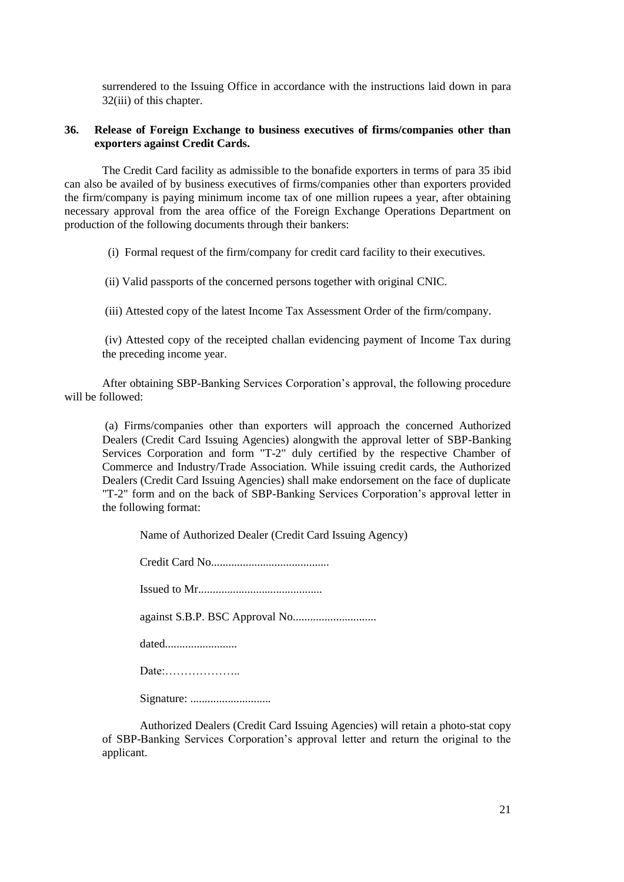surrendered to the Issuing Office in accordance with the instructions laid down in [para](file:///C:/Users/imran8347/AppData/Local/Microsoft/Windows/AppData/Local/Microsoft/Windows/Temporary%20Internet%20Files/Content.Outlook/chapter17.htm%23Bullet%2033%20(iii))  [32\(iii\)](file:///C:/Users/imran8347/AppData/Local/Microsoft/Windows/AppData/Local/Microsoft/Windows/Temporary%20Internet%20Files/Content.Outlook/chapter17.htm%23Bullet%2033%20(iii)) of this chapter.

# **36. Release of Foreign Exchange to business executives of firms/companies other than exporters against Credit Cards.**

The Credit Card facility as admissible to the bonafide exporters in terms of [para 3](file:///C:/Users/imran8347/AppData/Local/Microsoft/Windows/AppData/Local/Microsoft/Windows/Temporary%20Internet%20Files/Content.Outlook/chapter17.htm%23Bullet%2036)5 ibid can also be availed of by business executives of firms/companies other than exporters provided the firm/company is paying minimum income tax of one million rupees a year, after obtaining necessary approval from the area office of the Foreign Exchange Operations Department on production of the following documents through their bankers:

(i) Formal request of the firm/company for credit card facility to their executives.

(ii) Valid passports of the concerned persons together with original CNIC.

(iii) Attested copy of the latest Income Tax Assessment Order of the firm/company.

(iv) Attested copy of the receipted challan evidencing payment of Income Tax during the preceding income year.

After obtaining SBP-Banking Services Corporation's approval, the following procedure will be followed:

(a) Firms/companies other than exporters will approach the concerned Authorized Dealers (Credit Card Issuing Agencies) alongwith the approval letter of SBP-Banking Services Corporation and [form "T-2"](file:///C:/Users/imran8347/AppData/Local/Microsoft/Windows/AppData/Local/Microsoft/Windows/Temporary%20Internet%20Files/appendix%20files/appendix%205/ap5-80.htm) duly certified by the respective Chamber of Commerce and Industry/Trade Association. While issuing credit cards, the Authorized Dealers (Credit Card Issuing Agencies) shall make endorsement on the face of duplicate ["T-2" form](file:///C:/Users/imran8347/AppData/Local/Microsoft/Windows/AppData/Local/Microsoft/Windows/Temporary%20Internet%20Files/appendix%20files/appendix%205/ap5-80.htm) and on the back of SBP-Banking Services Corporation's approval letter in the following format:

Name of Authorized Dealer (Credit Card Issuing Agency)

Credit Card No.........................................

Issued to Mr...........................................

against S.B.P. BSC Approval No.............................

dated.........................

Date:………………..

Signature: ............................

Authorized Dealers (Credit Card Issuing Agencies) will retain a photo-stat copy of SBP-Banking Services Corporation's approval letter and return the original to the applicant.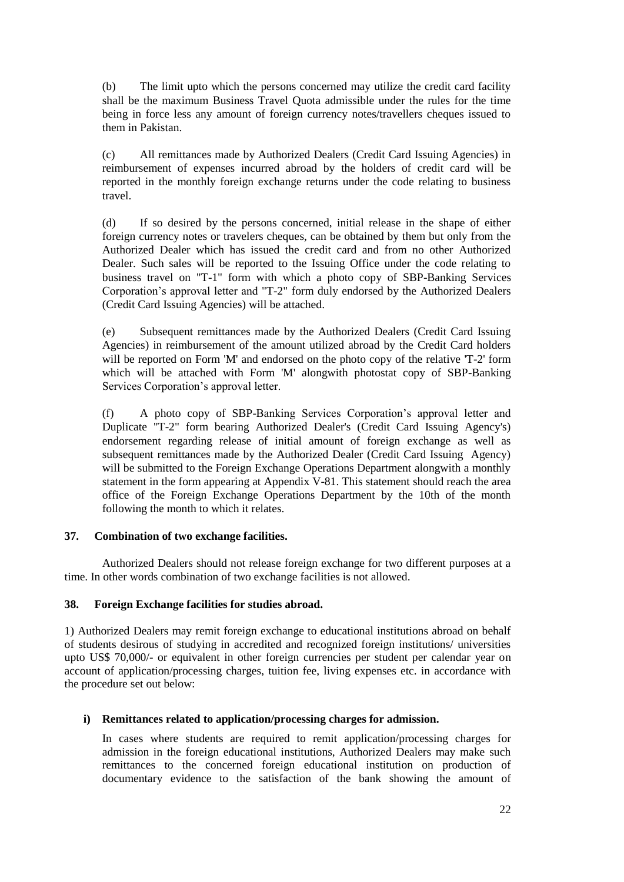(b) The limit upto which the persons concerned may utilize the credit card facility shall be the maximum Business Travel Quota admissible under the rules for the time being in force less any amount of foreign currency notes/travellers cheques issued to them in Pakistan.

(c) All remittances made by Authorized Dealers (Credit Card Issuing Agencies) in reimbursement of expenses incurred abroad by the holders of credit card will be reported in the monthly foreign exchange returns under the code relating to business travel.

(d) If so desired by the persons concerned, initial release in the shape of either foreign currency notes or travelers cheques, can be obtained by them but only from the Authorized Dealer which has issued the credit card and from no other Authorized Dealer. Such sales will be reported to the Issuing Office under the code relating to business travel on ["T-1" form](file:///C:/Users/imran8347/AppData/Local/Microsoft/Windows/AppData/Local/Microsoft/Windows/Temporary%20Internet%20Files/appendix%20files/appendix%205/ap5-73.htm) with which a photo copy of SBP-Banking Services Corporation's approval letter and ["T-2" form](file:///C:/Users/imran8347/AppData/Local/Microsoft/Windows/AppData/Local/Microsoft/Windows/Temporary%20Internet%20Files/appendix%20files/appendix%205/ap5-80.htm) duly endorsed by the Authorized Dealers (Credit Card Issuing Agencies) will be attached.

(e) Subsequent remittances made by the Authorized Dealers (Credit Card Issuing Agencies) in reimbursement of the amount utilized abroad by the Credit Card holders will be reported on [Form 'M'](file:///C:/Users/imran8347/AppData/Local/Microsoft/Windows/AppData/Local/Microsoft/Windows/Temporary%20Internet%20Files/appendix%20files/appendix%205/ap5-10.htm) and endorsed on the photo copy of the relative ['T-2' form](file:///C:/Users/imran8347/AppData/Local/Microsoft/Windows/AppData/Local/Microsoft/Windows/Temporary%20Internet%20Files/appendix%20files/appendix%205/ap5-80.htm) which will be attached with [Form 'M'](file:///C:/Users/imran8347/AppData/Local/Microsoft/Windows/AppData/Local/Microsoft/Windows/Temporary%20Internet%20Files/appendix%20files/appendix%205/ap5-10.htm) alongwith photostat copy of SBP-Banking Services Corporation's approval letter.

(f) A photo copy of SBP-Banking Services Corporation's approval letter and Duplicate ["T-2" form](file:///C:/Users/imran8347/AppData/Local/Microsoft/Windows/AppData/Local/Microsoft/Windows/Temporary%20Internet%20Files/appendix%20files/appendix%205/ap5-80.htm) bearing Authorized Dealer's (Credit Card Issuing Agency's) endorsement regarding release of initial amount of foreign exchange as well as subsequent remittances made by the Authorized Dealer (Credit Card Issuing Agency) will be submitted to the Foreign Exchange Operations Department alongwith a monthly statement in the form appearing at [Appendix V-8](file:///C:/Users/imran8347/AppData/Local/Microsoft/Windows/AppData/Local/Microsoft/Windows/Temporary%20Internet%20Files/appendix%20files/appendix%205/ap5-86.htm)1. This statement should reach the area office of the Foreign Exchange Operations Department by the 10th of the month following the month to which it relates.

## **37. Combination of two exchange facilities.**

Authorized Dealers should not release foreign exchange for two different purposes at a time. In other words combination of two exchange facilities is not allowed.

## **38. Foreign Exchange facilities for studies abroad.**

1) Authorized Dealers may remit foreign exchange to educational institutions abroad on behalf of students desirous of studying in accredited and recognized foreign institutions/ universities upto US\$ 70,000/- or equivalent in other foreign currencies per student per calendar year on account of application/processing charges, tuition fee, living expenses etc. in accordance with the procedure set out below:

## **i) Remittances related to application/processing charges for admission.**

In cases where students are required to remit application/processing charges for admission in the foreign educational institutions, Authorized Dealers may make such remittances to the concerned foreign educational institution on production of documentary evidence to the satisfaction of the bank showing the amount of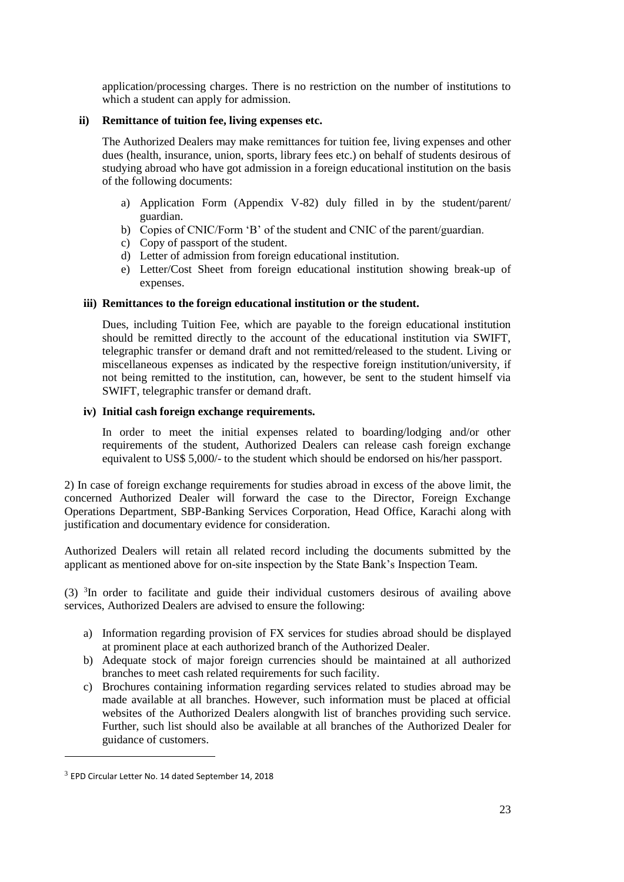application/processing charges. There is no restriction on the number of institutions to which a student can apply for admission.

## **ii) Remittance of tuition fee, living expenses etc.**

The Authorized Dealers may make remittances for tuition fee, living expenses and other dues (health, insurance, union, sports, library fees etc.) on behalf of students desirous of studying abroad who have got admission in a foreign educational institution on the basis of the following documents:

- a) Application Form (Appendix V-82) duly filled in by the student/parent/ guardian.
- b) Copies of CNIC/Form 'B' of the student and CNIC of the parent/guardian.
- c) Copy of passport of the student.
- d) Letter of admission from foreign educational institution.
- e) Letter/Cost Sheet from foreign educational institution showing break-up of expenses.

## **iii) Remittances to the foreign educational institution or the student.**

Dues, including Tuition Fee, which are payable to the foreign educational institution should be remitted directly to the account of the educational institution via SWIFT, telegraphic transfer or demand draft and not remitted/released to the student. Living or miscellaneous expenses as indicated by the respective foreign institution/university, if not being remitted to the institution, can, however, be sent to the student himself via SWIFT, telegraphic transfer or demand draft.

## **iv) Initial cash foreign exchange requirements.**

In order to meet the initial expenses related to boarding/lodging and/or other requirements of the student, Authorized Dealers can release cash foreign exchange equivalent to US\$ 5,000/- to the student which should be endorsed on his/her passport.

2) In case of foreign exchange requirements for studies abroad in excess of the above limit, the concerned Authorized Dealer will forward the case to the Director, Foreign Exchange Operations Department, SBP-Banking Services Corporation, Head Office, Karachi along with justification and documentary evidence for consideration.

Authorized Dealers will retain all related record including the documents submitted by the applicant as mentioned above for on-site inspection by the State Bank's Inspection Team.

(3) <sup>3</sup> In order to facilitate and guide their individual customers desirous of availing above services, Authorized Dealers are advised to ensure the following:

- a) Information regarding provision of FX services for studies abroad should be displayed at prominent place at each authorized branch of the Authorized Dealer.
- b) Adequate stock of major foreign currencies should be maintained at all authorized branches to meet cash related requirements for such facility.
- c) Brochures containing information regarding services related to studies abroad may be made available at all branches. However, such information must be placed at official websites of the Authorized Dealers alongwith list of branches providing such service. Further, such list should also be available at all branches of the Authorized Dealer for guidance of customers.

 $3$  EPD Circular Letter No. 14 dated September 14, 2018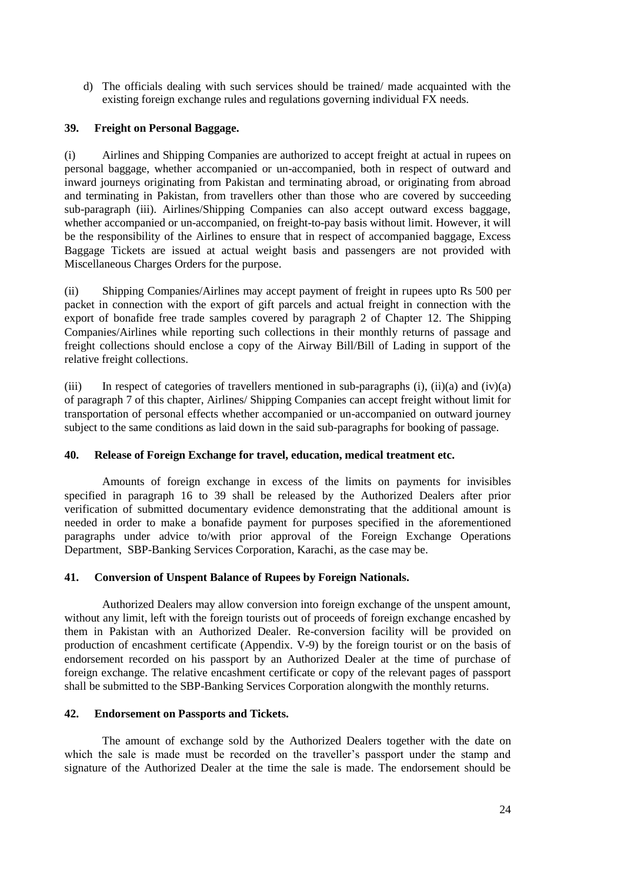d) The officials dealing with such services should be trained/ made acquainted with the existing foreign exchange rules and regulations governing individual FX needs.

# **39. Freight on Personal Baggage.**

(i) Airlines and Shipping Companies are authorized to accept freight at actual in rupees on personal baggage, whether accompanied or un-accompanied, both in respect of outward and inward journeys originating from Pakistan and terminating abroad, or originating from abroad and terminating in Pakistan, from travellers other than those who are covered by succeeding sub-paragraph (iii). Airlines/Shipping Companies can also accept outward excess baggage, whether accompanied or un-accompanied, on freight-to-pay basis without limit. However, it will be the responsibility of the Airlines to ensure that in respect of accompanied baggage, Excess Baggage Tickets are issued at actual weight basis and passengers are not provided with Miscellaneous Charges Orders for the purpose.

(ii) Shipping Companies/Airlines may accept payment of freight in rupees upto Rs 500 per packet in connection with the export of gift parcels and actual freight in connection with the export of bonafide free trade samples covered by paragraph 2 of Chapter 12. The Shipping Companies/Airlines while reporting such collections in their monthly returns of passage and freight collections should enclose a copy of the Airway Bill/Bill of Lading in support of the relative freight collections.

(iii) In respect of categories of travellers mentioned in sub-paragraphs  $(i)$ ,  $(ii)(a)$  and  $(iv)(a)$ of paragraph 7 of this chapter, Airlines/ Shipping Companies can accept freight without limit for transportation of personal effects whether accompanied or un-accompanied on outward journey subject to the same conditions as laid down in the said sub-paragraphs for booking of passage.

## **40. Release of Foreign Exchange for travel, education, medical treatment etc.**

Amounts of foreign exchange in excess of the limits on payments for invisibles specified in paragraph 16 to 39 shall be released by the Authorized Dealers after prior verification of submitted documentary evidence demonstrating that the additional amount is needed in order to make a bonafide payment for purposes specified in the aforementioned paragraphs under advice to/with prior approval of the Foreign Exchange Operations Department, SBP-Banking Services Corporation, Karachi, as the case may be.

## **41. Conversion of Unspent Balance of Rupees by Foreign Nationals.**

Authorized Dealers may allow conversion into foreign exchange of the unspent amount, without any limit, left with the foreign tourists out of proceeds of foreign exchange encashed by them in Pakistan with an Authorized Dealer. Re-conversion facility will be provided on production of encashment certificate (Appendix. V-9) by the foreign tourist or on the basis of endorsement recorded on his passport by an Authorized Dealer at the time of purchase of foreign exchange. The relative encashment certificate or copy of the relevant pages of passport shall be submitted to the SBP-Banking Services Corporation alongwith the monthly returns.

# **42. Endorsement on Passports and Tickets.**

The amount of exchange sold by the Authorized Dealers together with the date on which the sale is made must be recorded on the traveller's passport under the stamp and signature of the Authorized Dealer at the time the sale is made. The endorsement should be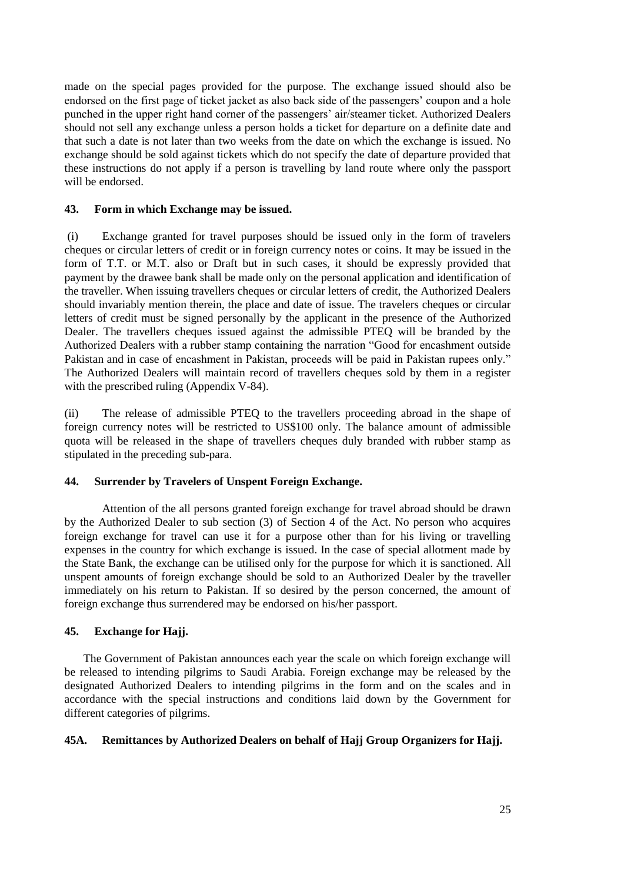made on the special pages provided for the purpose. The exchange issued should also be endorsed on the first page of ticket jacket as also back side of the passengers' coupon and a hole punched in the upper right hand corner of the passengers' air/steamer ticket. Authorized Dealers should not sell any exchange unless a person holds a ticket for departure on a definite date and that such a date is not later than two weeks from the date on which the exchange is issued. No exchange should be sold against tickets which do not specify the date of departure provided that these instructions do not apply if a person is travelling by land route where only the passport will be endorsed.

#### **43. Form in which Exchange may be issued.**

(i) Exchange granted for travel purposes should be issued only in the form of travelers cheques or circular letters of credit or in foreign currency notes or coins. It may be issued in the form of T.T. or M.T. also or Draft but in such cases, it should be expressly provided that payment by the drawee bank shall be made only on the personal application and identification of the traveller. When issuing travellers cheques or circular letters of credit, the Authorized Dealers should invariably mention therein, the place and date of issue. The travelers cheques or circular letters of credit must be signed personally by the applicant in the presence of the Authorized Dealer. The travellers cheques issued against the admissible PTEQ will be branded by the Authorized Dealers with a rubber stamp containing the narration "Good for encashment outside Pakistan and in case of encashment in Pakistan, proceeds will be paid in Pakistan rupees only." The Authorized Dealers will maintain record of travellers cheques sold by them in a register with the prescribed ruling (Appendix V-84).

(ii) The release of admissible PTEQ to the travellers proceeding abroad in the shape of foreign currency notes will be restricted to US\$100 only. The balance amount of admissible quota will be released in the shape of travellers cheques duly branded with rubber stamp as stipulated in the preceding sub-para.

## **44. Surrender by Travelers of Unspent Foreign Exchange.**

Attention of the all persons granted foreign exchange for travel abroad should be drawn by the Authorized Dealer to sub section (3) of Section 4 of the Act. No person who acquires foreign exchange for travel can use it for a purpose other than for his living or travelling expenses in the country for which exchange is issued. In the case of special allotment made by the State Bank, the exchange can be utilised only for the purpose for which it is sanctioned. All unspent amounts of foreign exchange should be sold to an Authorized Dealer by the traveller immediately on his return to Pakistan. If so desired by the person concerned, the amount of foreign exchange thus surrendered may be endorsed on his/her passport.

## **45. Exchange for Hajj.**

The Government of Pakistan announces each year the scale on which foreign exchange will be released to intending pilgrims to Saudi Arabia. Foreign exchange may be released by the designated Authorized Dealers to intending pilgrims in the form and on the scales and in accordance with the special instructions and conditions laid down by the Government for different categories of pilgrims.

## **45A. Remittances by Authorized Dealers on behalf of Hajj Group Organizers for Hajj.**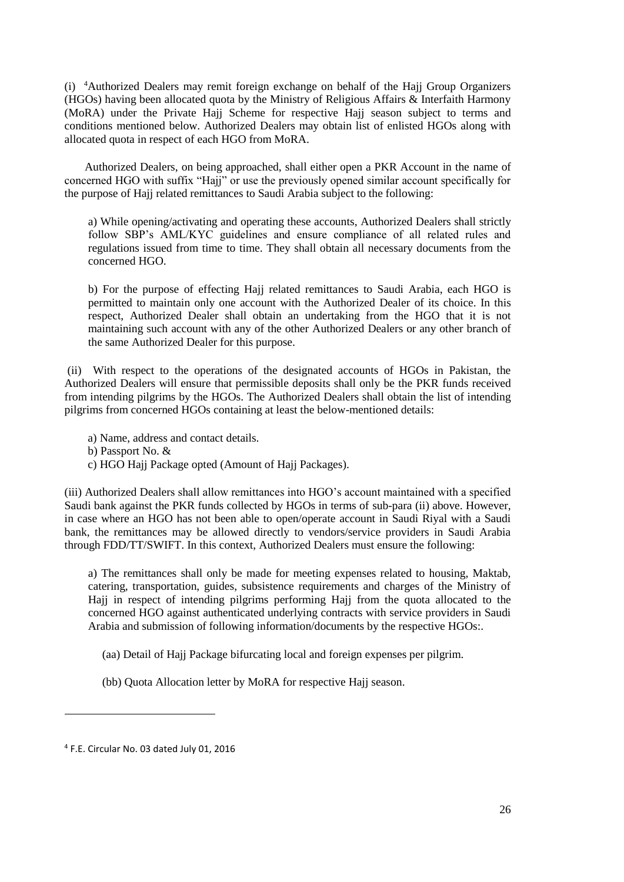(i) <sup>4</sup>Authorized Dealers may remit foreign exchange on behalf of the Hajj Group Organizers (HGOs) having been allocated quota by the Ministry of Religious Affairs & Interfaith Harmony (MoRA) under the Private Hajj Scheme for respective Hajj season subject to terms and conditions mentioned below. Authorized Dealers may obtain list of enlisted HGOs along with allocated quota in respect of each HGO from MoRA.

 Authorized Dealers, on being approached, shall either open a PKR Account in the name of concerned HGO with suffix "Hajj" or use the previously opened similar account specifically for the purpose of Hajj related remittances to Saudi Arabia subject to the following:

a) While opening/activating and operating these accounts, Authorized Dealers shall strictly follow SBP's AML/KYC guidelines and ensure compliance of all related rules and regulations issued from time to time. They shall obtain all necessary documents from the concerned HGO.

b) For the purpose of effecting Hajj related remittances to Saudi Arabia, each HGO is permitted to maintain only one account with the Authorized Dealer of its choice. In this respect, Authorized Dealer shall obtain an undertaking from the HGO that it is not maintaining such account with any of the other Authorized Dealers or any other branch of the same Authorized Dealer for this purpose.

(ii) With respect to the operations of the designated accounts of HGOs in Pakistan, the Authorized Dealers will ensure that permissible deposits shall only be the PKR funds received from intending pilgrims by the HGOs. The Authorized Dealers shall obtain the list of intending pilgrims from concerned HGOs containing at least the below-mentioned details:

a) Name, address and contact details.

b) Passport No. &

c) HGO Hajj Package opted (Amount of Hajj Packages).

(iii) Authorized Dealers shall allow remittances into HGO's account maintained with a specified Saudi bank against the PKR funds collected by HGOs in terms of sub-para (ii) above. However, in case where an HGO has not been able to open/operate account in Saudi Riyal with a Saudi bank, the remittances may be allowed directly to vendors/service providers in Saudi Arabia through FDD/TT/SWIFT. In this context, Authorized Dealers must ensure the following:

a) The remittances shall only be made for meeting expenses related to housing, Maktab, catering, transportation, guides, subsistence requirements and charges of the Ministry of Hajj in respect of intending pilgrims performing Hajj from the quota allocated to the concerned HGO against authenticated underlying contracts with service providers in Saudi Arabia and submission of following information/documents by the respective HGOs:.

(aa) Detail of Hajj Package bifurcating local and foreign expenses per pilgrim.

(bb) Quota Allocation letter by MoRA for respective Hajj season.

<sup>4</sup> F.E. Circular No. 03 dated July 01, 2016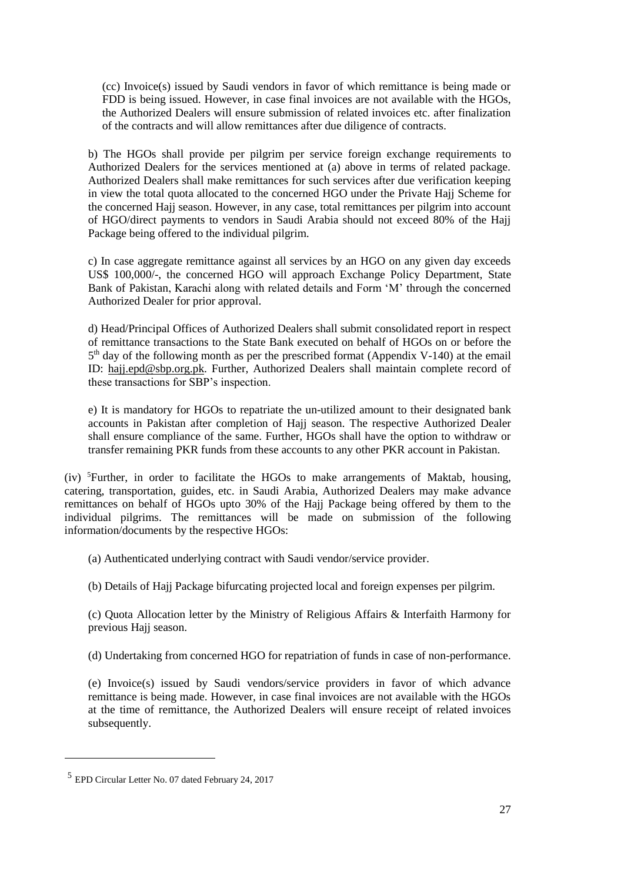(cc) Invoice(s) issued by Saudi vendors in favor of which remittance is being made or FDD is being issued. However, in case final invoices are not available with the HGOs, the Authorized Dealers will ensure submission of related invoices etc. after finalization of the contracts and will allow remittances after due diligence of contracts.

b) The HGOs shall provide per pilgrim per service foreign exchange requirements to Authorized Dealers for the services mentioned at (a) above in terms of related package. Authorized Dealers shall make remittances for such services after due verification keeping in view the total quota allocated to the concerned HGO under the Private Hajj Scheme for the concerned Hajj season. However, in any case, total remittances per pilgrim into account of HGO/direct payments to vendors in Saudi Arabia should not exceed 80% of the Hajj Package being offered to the individual pilgrim.

c) In case aggregate remittance against all services by an HGO on any given day exceeds US\$ 100,000/-, the concerned HGO will approach Exchange Policy Department, State Bank of Pakistan, Karachi along with related details and Form 'M' through the concerned Authorized Dealer for prior approval.

d) Head/Principal Offices of Authorized Dealers shall submit consolidated report in respect of remittance transactions to the State Bank executed on behalf of HGOs on or before the 5<sup>th</sup> day of the following month as per the prescribed format (Appendix V-140) at the email ID: [hajj.epd@sbp.org.pk.](mailto:hajj.epd@sbp.org.pk) Further, Authorized Dealers shall maintain complete record of these transactions for SBP's inspection.

e) It is mandatory for HGOs to repatriate the un-utilized amount to their designated bank accounts in Pakistan after completion of Hajj season. The respective Authorized Dealer shall ensure compliance of the same. Further, HGOs shall have the option to withdraw or transfer remaining PKR funds from these accounts to any other PKR account in Pakistan.

(iv) <sup>5</sup>Further, in order to facilitate the HGOs to make arrangements of Maktab, housing, catering, transportation, guides, etc. in Saudi Arabia, Authorized Dealers may make advance remittances on behalf of HGOs upto 30% of the Hajj Package being offered by them to the individual pilgrims. The remittances will be made on submission of the following information/documents by the respective HGOs:

(a) Authenticated underlying contract with Saudi vendor/service provider.

(b) Details of Hajj Package bifurcating projected local and foreign expenses per pilgrim.

(c) Quota Allocation letter by the Ministry of Religious Affairs & Interfaith Harmony for previous Hajj season.

(d) Undertaking from concerned HGO for repatriation of funds in case of non-performance.

(e) Invoice(s) issued by Saudi vendors/service providers in favor of which advance remittance is being made. However, in case final invoices are not available with the HGOs at the time of remittance, the Authorized Dealers will ensure receipt of related invoices subsequently.

<sup>5</sup> EPD Circular Letter No. 07 dated February 24, 2017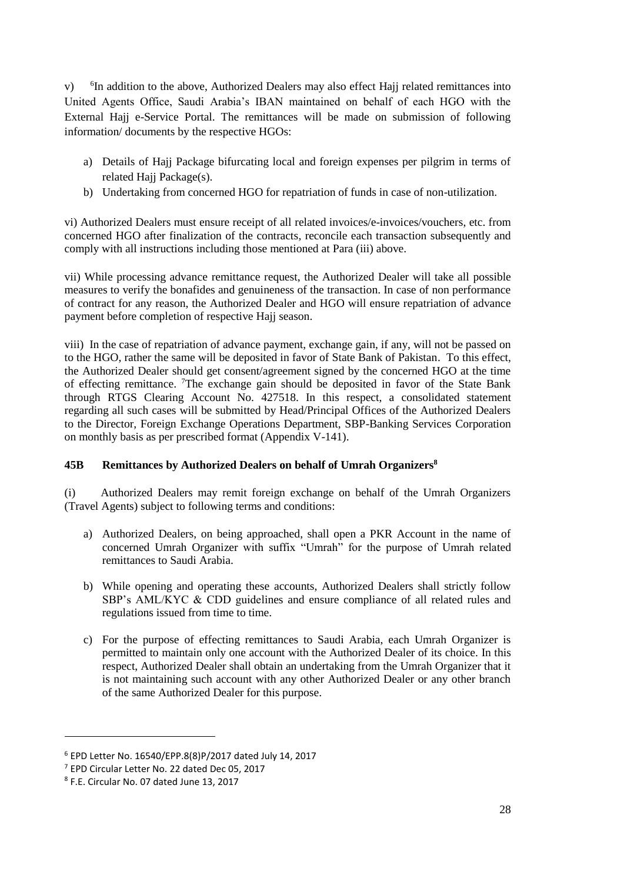$V)$ <sup>6</sup>In addition to the above, Authorized Dealers may also effect Hajj related remittances into United Agents Office, Saudi Arabia's IBAN maintained on behalf of each HGO with the External Hajj e-Service Portal. The remittances will be made on submission of following information/ documents by the respective HGOs:

- a) Details of Hajj Package bifurcating local and foreign expenses per pilgrim in terms of related Hajj Package(s).
- b) Undertaking from concerned HGO for repatriation of funds in case of non-utilization.

vi) Authorized Dealers must ensure receipt of all related invoices/e-invoices/vouchers, etc. from concerned HGO after finalization of the contracts, reconcile each transaction subsequently and comply with all instructions including those mentioned at Para (iii) above.

vii) While processing advance remittance request, the Authorized Dealer will take all possible measures to verify the bonafides and genuineness of the transaction. In case of non performance of contract for any reason, the Authorized Dealer and HGO will ensure repatriation of advance payment before completion of respective Hajj season.

viii) In the case of repatriation of advance payment, exchange gain, if any, will not be passed on to the HGO, rather the same will be deposited in favor of State Bank of Pakistan. To this effect, the Authorized Dealer should get consent/agreement signed by the concerned HGO at the time of effecting remittance. <sup>7</sup>The exchange gain should be deposited in favor of the State Bank through RTGS Clearing Account No. 427518. In this respect, a consolidated statement regarding all such cases will be submitted by Head/Principal Offices of the Authorized Dealers to the Director, Foreign Exchange Operations Department, SBP-Banking Services Corporation on monthly basis as per prescribed format (Appendix V-141).

## **45B Remittances by Authorized Dealers on behalf of Umrah Organizers<sup>8</sup>**

(i) Authorized Dealers may remit foreign exchange on behalf of the Umrah Organizers (Travel Agents) subject to following terms and conditions:

- a) Authorized Dealers, on being approached, shall open a PKR Account in the name of concerned Umrah Organizer with suffix "Umrah" for the purpose of Umrah related remittances to Saudi Arabia.
- b) While opening and operating these accounts, Authorized Dealers shall strictly follow SBP's AML/KYC & CDD guidelines and ensure compliance of all related rules and regulations issued from time to time.
- c) For the purpose of effecting remittances to Saudi Arabia, each Umrah Organizer is permitted to maintain only one account with the Authorized Dealer of its choice. In this respect, Authorized Dealer shall obtain an undertaking from the Umrah Organizer that it is not maintaining such account with any other Authorized Dealer or any other branch of the same Authorized Dealer for this purpose.

<sup>6</sup> EPD Letter No. 16540/EPP.8(8)P/2017 dated July 14, 2017

<sup>7</sup> EPD Circular Letter No. 22 dated Dec 05, 2017

<sup>8</sup> F.E. Circular No. 07 dated June 13, 2017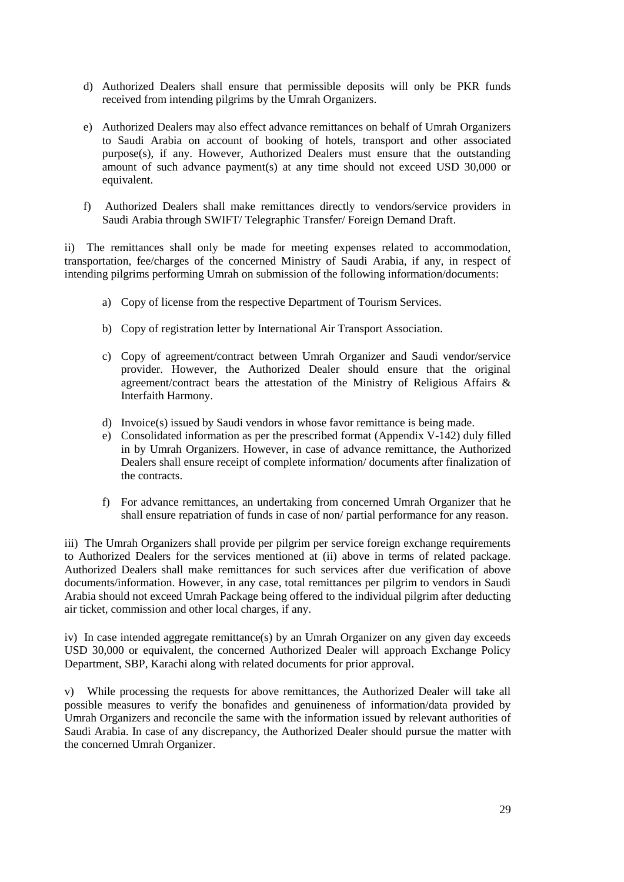- d) Authorized Dealers shall ensure that permissible deposits will only be PKR funds received from intending pilgrims by the Umrah Organizers.
- e) Authorized Dealers may also effect advance remittances on behalf of Umrah Organizers to Saudi Arabia on account of booking of hotels, transport and other associated purpose(s), if any. However, Authorized Dealers must ensure that the outstanding amount of such advance payment(s) at any time should not exceed USD 30,000 or equivalent.
- f) Authorized Dealers shall make remittances directly to vendors/service providers in Saudi Arabia through SWIFT/ Telegraphic Transfer/ Foreign Demand Draft.

ii) The remittances shall only be made for meeting expenses related to accommodation, transportation, fee/charges of the concerned Ministry of Saudi Arabia, if any, in respect of intending pilgrims performing Umrah on submission of the following information/documents:

- a) Copy of license from the respective Department of Tourism Services.
- b) Copy of registration letter by International Air Transport Association.
- c) Copy of agreement/contract between Umrah Organizer and Saudi vendor/service provider. However, the Authorized Dealer should ensure that the original agreement/contract bears the attestation of the Ministry of Religious Affairs & Interfaith Harmony.
- d) Invoice(s) issued by Saudi vendors in whose favor remittance is being made.
- e) Consolidated information as per the prescribed format (Appendix V-142) duly filled in by Umrah Organizers. However, in case of advance remittance, the Authorized Dealers shall ensure receipt of complete information/ documents after finalization of the contracts.
- f) For advance remittances, an undertaking from concerned Umrah Organizer that he shall ensure repatriation of funds in case of non/ partial performance for any reason.

iii) The Umrah Organizers shall provide per pilgrim per service foreign exchange requirements to Authorized Dealers for the services mentioned at (ii) above in terms of related package. Authorized Dealers shall make remittances for such services after due verification of above documents/information. However, in any case, total remittances per pilgrim to vendors in Saudi Arabia should not exceed Umrah Package being offered to the individual pilgrim after deducting air ticket, commission and other local charges, if any.

iv) In case intended aggregate remittance(s) by an Umrah Organizer on any given day exceeds USD 30,000 or equivalent, the concerned Authorized Dealer will approach Exchange Policy Department, SBP, Karachi along with related documents for prior approval.

v) While processing the requests for above remittances, the Authorized Dealer will take all possible measures to verify the bonafides and genuineness of information/data provided by Umrah Organizers and reconcile the same with the information issued by relevant authorities of Saudi Arabia. In case of any discrepancy, the Authorized Dealer should pursue the matter with the concerned Umrah Organizer.